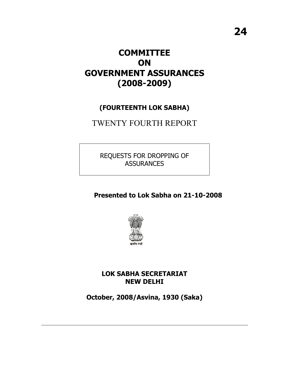# **COMMITTEE ON GOVERNMENT ASSURANCES (2008-2009)**

# **(FOURTEENTH LOK SABHA)**

# TWENTY FOURTH REPORT

REQUESTS FOR DROPPING OF **ASSURANCES** 

 **Presented to Lok Sabha on 21-10-2008**



**LOK SABHA SECRETARIAT NEW DELHI** 

**October, 2008/Asvina, 1930 (Saka)**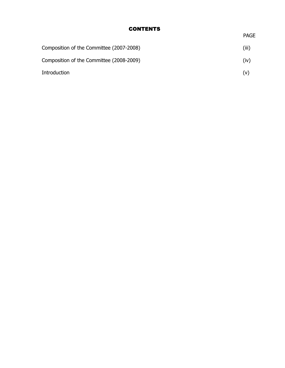## **CONTENTS**

| ۰.<br>., |
|----------|

| Composition of the Committee (2007-2008) | (iii) |
|------------------------------------------|-------|
| Composition of the Committee (2008-2009) | (iv)  |
| Introduction                             | (v)   |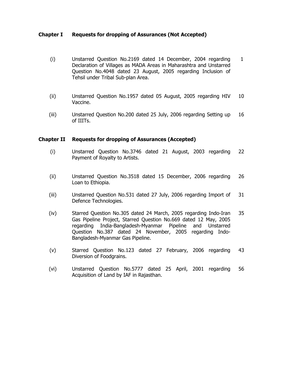#### **Chapter I Requests for dropping of Assurances (Not Accepted)**

- (i) Unstarred Question No.2169 dated 14 December, 2004 regarding Declaration of Villages as MADA Areas in Maharashtra and Unstarred Question No.4048 dated 23 August, 2005 regarding Inclusion of Tehsil under Tribal Sub-plan Area. 1
- (ii) Unstarred Question No.1957 dated 05 August, 2005 regarding HIV Vaccine. 10
- (iii) Unstarred Question No.200 dated 25 July, 2006 regarding Setting up of IIITs. 16

#### **Chapter II Requests for dropping of Assurances (Accepted)**

- (i) Unstarred Question No.3746 dated 21 August, 2003 regarding Payment of Royalty to Artists. 22
- (ii) Unstarred Question No.3518 dated 15 December, 2006 regarding Loan to Ethiopia. 26
- (iii) Unstarred Question No.531 dated 27 July, 2006 regarding Import of Defence Technologies. 31
- (iv) Starred Question No.305 dated 24 March, 2005 regarding Indo-Iran Gas Pipeline Project, Starred Question No.669 dated 12 May, 2005 regarding India-Bangladesh-Myanmar Pipeline and Unstarred Question No.387 dated 24 November, 2005 regarding Indo-Bangladesh-Myanmar Gas Pipeline. 35
- (v) Starred Question No.123 dated 27 February, 2006 regarding Diversion of Foodgrains. 43
- (vi) Unstarred Question No.5777 dated 25 April, 2001 regarding Acquisition of Land by IAF in Rajasthan. 56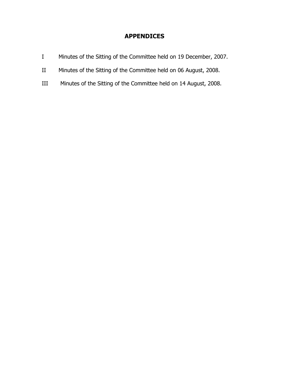# **APPENDICES**

- I Minutes of the Sitting of the Committee held on 19 December, 2007.
- II Minutes of the Sitting of the Committee held on 06 August, 2008.
- III Minutes of the Sitting of the Committee held on 14 August, 2008.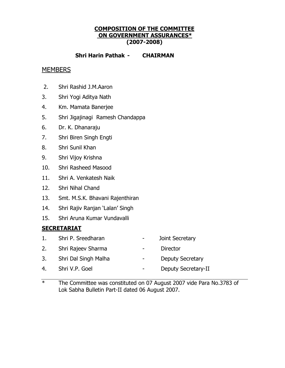## **COMPOSITION OF THE COMMITTEE ON GOVERNMENT ASSURANCES\* (2007-2008)**

## **Shri Harin Pathak - CHAIRMAN**

## **MEMBERS**

- 2. Shri Rashid J.M.Aaron
- 3. Shri Yogi Aditya Nath
- 4. Km. Mamata Banerjee
- 5. Shri Jigajinagi Ramesh Chandappa
- 6. Dr. K. Dhanaraju
- 7. Shri Biren Singh Engti
- 8. Shri Sunil Khan
- 9. Shri Vijoy Krishna
- 10. Shri Rasheed Masood
- 11. Shri A. Venkatesh Naik
- 12. Shri Nihal Chand
- 13. Smt. M.S.K. Bhavani Rajenthiran
- 14. Shri Rajiv Ranjan 'Lalan' Singh
- 15. Shri Aruna Kumar Vundavalli

## **SECRETARIAT**

- 1. Shri P. Sreedharan Joint Secretary
- 2. Shri Rajeev Sharma Director
- 3. Shri Dal Singh Malha Deputy Secretary
- 4. Shri V.P. Goel  **Accelerate Contact Contact Contact Contact Contact Contact Contact Contact Contact Contact Contact Contact Contact Contact Contact Contact Contact Contact Contact Contact Contact Contact Contact Contac**
- \* The Committee was constituted on 07 August 2007 vide Para No.3783 of Lok Sabha Bulletin Part-II dated 06 August 2007.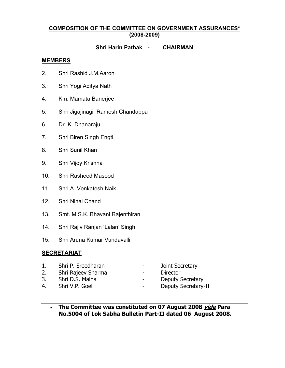### **COMPOSITION OF THE COMMITTEE ON GOVERNMENT ASSURANCES\* (2008-2009)**

#### **Shri Harin Pathak - CHAIRMAN**

#### **MEMBERS**

- 2. Shri Rashid J.M.Aaron
- 3. Shri Yogi Aditya Nath
- 4. Km. Mamata Banerjee
- 5. Shri Jigajinagi Ramesh Chandappa
- 6. Dr. K. Dhanaraju
- 7. Shri Biren Singh Engti
- 8. Shri Sunil Khan
- 9. Shri Vijoy Krishna
- 10. Shri Rasheed Masood
- 11. Shri A. Venkatesh Naik
- 12. Shri Nihal Chand
- 13. Smt. M.S.K. Bhavani Rajenthiran
- 14. Shri Rajiv Ranjan 'Lalan' Singh
- 15. Shri Aruna Kumar Vundavalli

#### **SECRETARIAT**

|    | Shri P. Sreedharan | $\sim$ | Joint Secretary         |
|----|--------------------|--------|-------------------------|
| 2. | Shri Rajeev Sharma | $\sim$ | Director                |
|    | Shri D.S. Malha    |        | <b>Deputy Secretary</b> |

- 
- 
- 4. Shri V.P. Goel  **Accelerate Contact Contact Contact Contact Contact Contact Contact Contact Contact Contact Contact Contact Contact Contact Contact Contact Contact Contact Contact Contact Contact Contact Contact Contac** 
	- **The Committee was constituted on 07 August 2008 vide Para No.5004 of Lok Sabha Bulletin Part-II dated 06 August 2008.**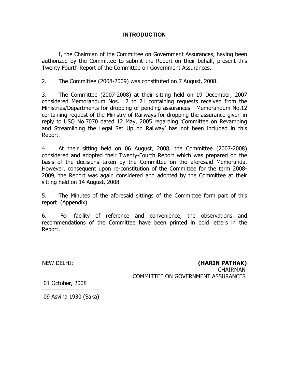## **INTRODUCTION**

I, the Chairman of the Committee on Government Assurances, having been authorized by the Committee to submit the Report on their behalf, present this Twenty Fourth Report of the Committee on Government Assurances.

2. The Committee (2008-2009) was constituted on 7 August, 2008.

3. The Committee (2007-2008) at their sitting held on 19 December, 2007 considered Memorandum Nos. 12 to 21 containing requests received from the Ministries/Departments for dropping of pending assurances. Memorandum No.12 containing request of the Ministry of Railways for dropping the assurance given in reply to USQ No.7070 dated 12 May, 2005 regarding 'Committee on Revamping and Streamlining the Legal Set Up on Railway' has not been included in this Report.

4. At their sitting held on 06 August, 2008, the Committee (2007-2008) considered and adopted their Twenty-Fourth Report which was prepared on the basis of the decisions taken by the Committee on the aforesaid Memoranda. However, consequent upon re-constitution of the Committee for the term 2008- 2009, the Report was again considered and adopted by the Committee at their sitting held on 14 August, 2008.

5. The Minutes of the aforesaid sittings of the Committee form part of this report. (Appendix).

6. For facility of reference and convenience, the observations and recommendations of the Committee have been printed in bold letters in the Report.

NEW DELHI; **(HARIN PATHAK)** CHAIRMAN COMMITTEE ON GOVERNMENT ASSURANCES

01 October, 2008

---------------------------- 09 Asvina 1930 (Saka)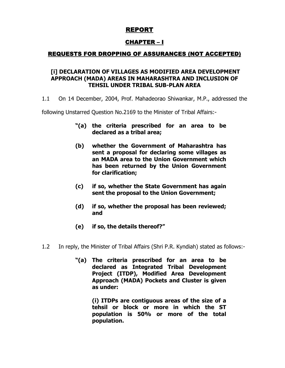# REPORT

# CHAPTER – I

## REQUESTS FOR DROPPING OF ASSURANCES (NOT ACCEPTED)

### **[i] DECLARATION OF VILLAGES AS MODIFIED AREA DEVELOPMENT APPROACH (MADA) AREAS IN MAHARASHTRA AND INCLUSION OF TEHSIL UNDER TRIBAL SUB-PLAN AREA**

1.1 On 14 December, 2004, Prof. Mahadeorao Shiwankar, M.P., addressed the

following Unstarred Question No.2169 to the Minister of Tribal Affairs:-

- **"(a) the criteria prescribed for an area to be declared as a tribal area;**
- **(b) whether the Government of Maharashtra has sent a proposal for declaring some villages as an MADA area to the Union Government which has been returned by the Union Government for clarification;**
- **(c) if so, whether the State Government has again sent the proposal to the Union Government;**
- **(d) if so, whether the proposal has been reviewed; and**
- **(e) if so, the details thereof?"**
- 1.2 In reply, the Minister of Tribal Affairs (Shri P.R. Kyndiah) stated as follows:-
	- **"(a) The criteria prescribed for an area to be declared as Integrated Tribal Development Project (ITDP), Modified Area Development Approach (MADA) Pockets and Cluster is given as under:**

**(i) ITDPs are contiguous areas of the size of a tehsil or block or more in which the ST population is 50% or more of the total population.**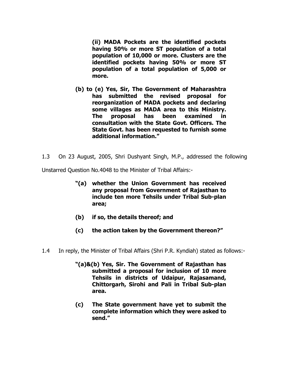**(ii) MADA Pockets are the identified pockets having 50% or more ST population of a total population of 10,000 or more. Clusters are the identified pockets having 50% or more ST population of a total population of 5,000 or more.** 

- **(b) to (e) Yes, Sir, The Government of Maharashtra has submitted the revised proposal for reorganization of MADA pockets and declaring some villages as MADA area to this Ministry. The proposal has been examined in consultation with the State Govt. Officers. The State Govt. has been requested to furnish some additional information."**
- 1.3 On 23 August, 2005, Shri Dushyant Singh, M.P., addressed the following

Unstarred Question No.4048 to the Minister of Tribal Affairs:-

- **"(a) whether the Union Government has received any proposal from Government of Rajasthan to include ten more Tehsils under Tribal Sub-plan area;**
- **(b) if so, the details thereof; and**
- **(c) the action taken by the Government thereon?"**
- 1.4 In reply, the Minister of Tribal Affairs (Shri P.R. Kyndiah) stated as follows:-
	- **"(a)&(b) Yes, Sir. The Government of Rajasthan has submitted a proposal for inclusion of 10 more Tehsils in districts of Udaipur, Rajasamand, Chittorgarh, Sirohi and Pali in Tribal Sub-plan area.**
	- **(c) The State government have yet to submit the complete information which they were asked to send."**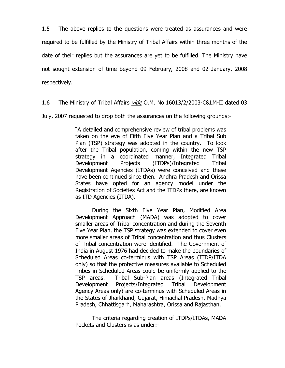1.5 The above replies to the questions were treated as assurances and were required to be fulfilled by the Ministry of Tribal Affairs within three months of the date of their replies but the assurances are yet to be fulfilled. The Ministry have not sought extension of time beyond 09 February, 2008 and 02 January, 2008 respectively.

1.6 The Ministry of Tribal Affairs vide O.M. No.16013/2/2003-C&LM-II dated 03

July, 2007 requested to drop both the assurances on the following grounds:-

"A detailed and comprehensive review of tribal problems was taken on the eve of Fifth Five Year Plan and a Tribal Sub Plan (TSP) strategy was adopted in the country. To look after the Tribal population, coming within the new TSP strategy in a coordinated manner, Integrated Tribal Development Projects (ITDPs)/Integrated Tribal Development Agencies (ITDAs) were conceived and these have been continued since then. Andhra Pradesh and Orissa States have opted for an agency model under the Registration of Societies Act and the ITDPs there, are known as ITD Agencies (ITDA).

During the Sixth Five Year Plan, Modified Area Development Approach (MADA) was adopted to cover smaller areas of Tribal concentration and during the Seventh Five Year Plan, the TSP strategy was extended to cover even more smaller areas of Tribal concentration and thus Clusters of Tribal concentration were identified. The Government of India in August 1976 had decided to make the boundaries of Scheduled Areas co-terminus with TSP Areas (ITDP/ITDA only) so that the protective measures available to Scheduled Tribes in Scheduled Areas could be uniformly applied to the TSP areas. Tribal Sub-Plan areas (Integrated Tribal Development Projects/Integrated Tribal Development Agency Areas only) are co-terminus with Scheduled Areas in the States of Jharkhand, Gujarat, Himachal Pradesh, Madhya Pradesh, Chhattisgarh, Maharashtra, Orissa and Rajasthan.

The criteria regarding creation of ITDPs/ITDAs, MADA Pockets and Clusters is as under:-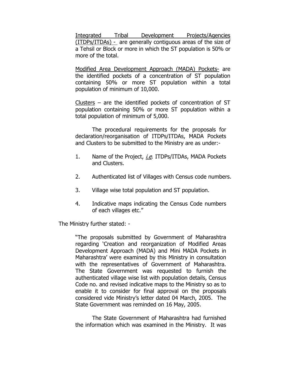Integrated Tribal Development Projects/Agencies (ITDPs/ITDAs) - are generally contiguous areas of the size of a Tehsil or Block or more in which the ST population is 50% or more of the total.

Modified Area Development Approach (MADA) Pockets- are the identified pockets of a concentration of ST population containing 50% or more ST population within a total population of minimum of 10,000.

Clusters – are the identified pockets of concentration of ST population containing 50% or more ST population within a total population of minimum of 5,000.

The procedural requirements for the proposals for declaration/reorganisation of ITDPs/ITDAs, MADA Pockets and Clusters to be submitted to the Ministry are as under:-

- 1. Name of the Project, *i.e.* ITDPs/ITDAs, MADA Pockets and Clusters.
- 2. Authenticated list of Villages with Census code numbers.
- 3. Village wise total population and ST population.
- 4. Indicative maps indicating the Census Code numbers of each villages etc."

The Ministry further stated: -

"The proposals submitted by Government of Maharashtra regarding 'Creation and reorganization of Modified Areas Development Approach (MADA) and Mini MADA Pockets in Maharashtra' were examined by this Ministry in consultation with the representatives of Government of Maharashtra. The State Government was requested to furnish the authenticated village wise list with population details, Census Code no. and revised indicative maps to the Ministry so as to enable it to consider for final approval on the proposals considered vide Ministry's letter dated 04 March, 2005. The State Government was reminded on 16 May, 2005.

The State Government of Maharashtra had furnished the information which was examined in the Ministry. It was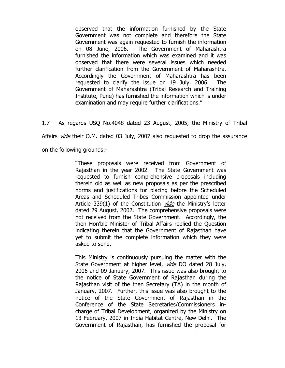observed that the information furnished by the State Government was not complete and therefore the State Government was again requested to furnish the information on 08 June, 2006. The Government of Maharashtra furnished the information which was examined and it was observed that there were several issues which needed further clarification from the Government of Maharashtra. Accordingly the Government of Maharashtra has been requested to clarify the issue on 19 July, 2006. The Government of Maharashtra (Tribal Research and Training Institute, Pune) has furnished the information which is under examination and may require further clarifications."

1.7 As regards USQ No.4048 dated 23 August, 2005, the Ministry of Tribal Affairs *vide* their O.M. dated 03 July, 2007 also requested to drop the assurance on the following grounds:-

> "These proposals were received from Government of Rajasthan in the year 2002. The State Government was requested to furnish comprehensive proposals including therein old as well as new proposals as per the prescribed norms and justifications for placing before the Scheduled Areas and Scheduled Tribes Commission appointed under Article 339(1) of the Constitution *vide* the Ministry's letter dated 29 August, 2002. The comprehensive proposals were not received from the State Government. Accordingly, the then Hon'ble Minister of Tribal Affairs replied the Question indicating therein that the Government of Rajasthan have yet to submit the complete information which they were asked to send.

> This Ministry is continuously pursuing the matter with the State Government at higher level, *vide* DO dated 28 July, 2006 and 09 January, 2007. This issue was also brought to the notice of State Government of Rajasthan during the Rajasthan visit of the then Secretary (TA) in the month of January, 2007. Further, this issue was also brought to the notice of the State Government of Rajasthan in the Conference of the State Secretaries/Commissioners incharge of Tribal Development, organized by the Ministry on 13 February, 2007 in India Habitat Centre, New Delhi. The Government of Rajasthan, has furnished the proposal for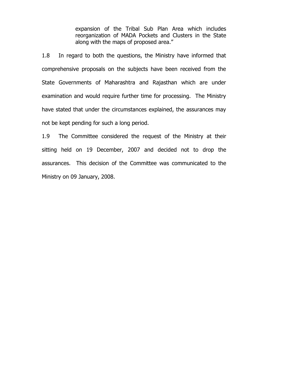expansion of the Tribal Sub Plan Area which includes reorganization of MADA Pockets and Clusters in the State along with the maps of proposed area."

1.8 In regard to both the questions, the Ministry have informed that comprehensive proposals on the subjects have been received from the State Governments of Maharashtra and Rajasthan which are under examination and would require further time for processing. The Ministry have stated that under the circumstances explained, the assurances may not be kept pending for such a long period.

1.9 The Committee considered the request of the Ministry at their sitting held on 19 December, 2007 and decided not to drop the assurances. This decision of the Committee was communicated to the Ministry on 09 January, 2008.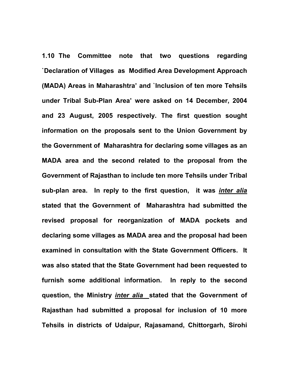**1.10 The Committee note that two questions regarding `Declaration of Villages as Modified Area Development Approach (MADA) Areas in Maharashtra' and `Inclusion of ten more Tehsils under Tribal Sub-Plan Area' were asked on 14 December, 2004 and 23 August, 2005 respectively. The first question sought information on the proposals sent to the Union Government by the Government of Maharashtra for declaring some villages as an MADA area and the second related to the proposal from the Government of Rajasthan to include ten more Tehsils under Tribal sub-plan area. In reply to the first question, it was** *inter alia* **stated that the Government of Maharashtra had submitted the revised proposal for reorganization of MADA pockets and declaring some villages as MADA area and the proposal had been examined in consultation with the State Government Officers. It was also stated that the State Government had been requested to furnish some additional information. In reply to the second question, the Ministry** *inter alia* **stated that the Government of Rajasthan had submitted a proposal for inclusion of 10 more Tehsils in districts of Udaipur, Rajasamand, Chittorgarh, Sirohi**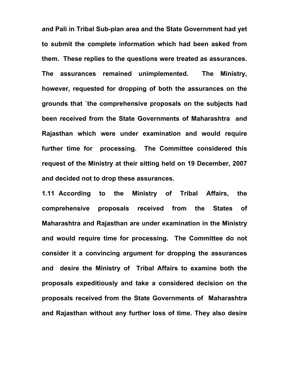**and Pali in Tribal Sub-plan area and the State Government had yet to submit the complete information which had been asked from them. These replies to the questions were treated as assurances. The assurances remained unimplemented. The Ministry, however, requested for dropping of both the assurances on the grounds that `the comprehensive proposals on the subjects had been received from the State Governments of Maharashtra and Rajasthan which were under examination and would require further time for processing. The Committee considered this request of the Ministry at their sitting held on 19 December, 2007 and decided not to drop these assurances.** 

**1.11 According to the Ministry of Tribal Affairs, the comprehensive proposals received from the States of Maharashtra and Rajasthan are under examination in the Ministry and would require time for processing. The Committee do not consider it a convincing argument for dropping the assurances and desire the Ministry of Tribal Affairs to examine both the proposals expeditiously and take a considered decision on the proposals received from the State Governments of Maharashtra and Rajasthan without any further loss of time. They also desire**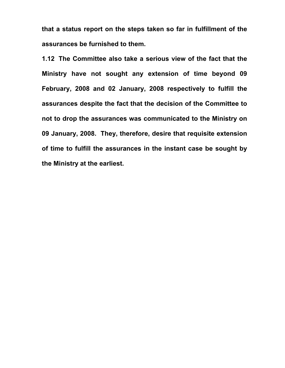**that a status report on the steps taken so far in fulfillment of the assurances be furnished to them.** 

**1.12 The Committee also take a serious view of the fact that the Ministry have not sought any extension of time beyond 09 February, 2008 and 02 January, 2008 respectively to fulfill the assurances despite the fact that the decision of the Committee to not to drop the assurances was communicated to the Ministry on 09 January, 2008. They, therefore, desire that requisite extension of time to fulfill the assurances in the instant case be sought by the Ministry at the earliest.**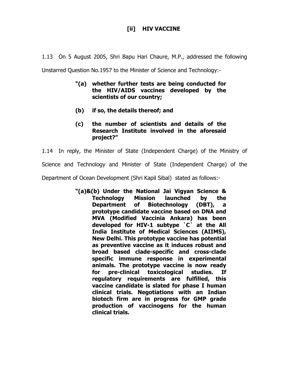# **[ii] HIV VACCINE**

1.13 On 5 August 2005, Shri Bapu Hari Chaure, M.P., addressed the following

Unstarred Question No.1957 to the Minister of Science and Technology:-

- **"(a) whether further tests are being conducted for the HIV/AIDS vaccines developed by the scientists of our country;**
- **(b) if so, the details thereof; and**
- **(c) the number of scientists and details of the Research Institute involved in the aforesaid project?"**

1.14 In reply, the Minister of State (Independent Charge) of the Ministry of

Science and Technology and Minister of State (Independent Charge) of the

Department of Ocean Development (Shri Kapil Sibal) stated as follows:-

**"(a)&(b) Under the National Jai Vigyan Science & Technology Mission launched by the Department of Biotechnology (DBT), a prototype candidate vaccine based on DNA and MVA (Modified Vaccinia Ankara) has been developed for HIV-1 subtype `C` at the All India Institute of Medical Sciences (AIIMS), New Delhi. This prototype vaccine has potential as preventive vaccine as it induces robust and broad based clade-specific and cross-clade specific immune response in experimental animals. The prototype vaccine is now ready for pre-clinical toxicological studies. If regulatory requirements are fulfilled, this vaccine candidate is slated for phase I human clinical trials. Negotiations with an Indian biotech firm are in progress for GMP grade production of vaccinogens for the human clinical trials.**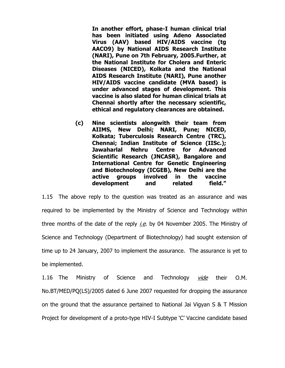**In another effort, phase-I human clinical trial has been initiated using Adeno Associated Virus (AAV) based HIV/AIDS vaccine (tg AACO9) by National AIDS Research Institute (NARI), Pune on 7th February, 2005.Further, at the National Institute for Cholera and Enteric Diseases (NICED), Kolkata and the National AIDS Research Institute (NARI), Pune another HIV/AIDS vaccine candidate (MVA based) is under advanced stages of development. This vaccine is also slated for human clinical trials at Chennai shortly after the necessary scientific, ethical and regulatory clearances are obtained.** 

**(c) Nine scientists alongwith their team from AIIMS, New Delhi; NARI, Pune; NICED, Kolkata; Tuberculosis Research Centre (TRC), Chennai; Indian Institute of Science (IISc.); Jawaharlal Nehru Centre for Advanced Scientific Research (JNCASR), Bangalore and International Centre for Genetic Engineering and Biotechnology (ICGEB), New Delhi are the active groups involved in the vaccine development and related field."** 

1.15 The above reply to the question was treated as an assurance and was required to be implemented by the Ministry of Science and Technology within three months of the date of the reply  $i.e.$  by 04 November 2005. The Ministry of Science and Technology (Department of Biotechnology) had sought extension of time up to 24 January, 2007 to implement the assurance. The assurance is yet to be implemented.

1.16 The Ministry of Science and Technology *vide* their O.M. No.BT/MED/PQ(LS)/2005 dated 6 June 2007 requested for dropping the assurance on the ground that the assurance pertained to National Jai Vigyan S & T Mission Project for development of a proto-type HIV-I Subtype 'C' Vaccine candidate based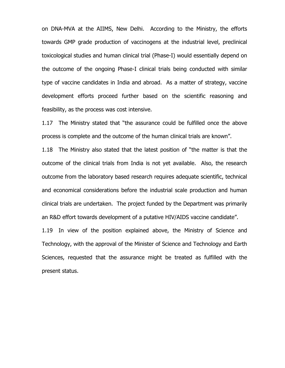on DNA-MVA at the AIIMS, New Delhi. According to the Ministry, the efforts towards GMP grade production of vaccinogens at the industrial level, preclinical toxicological studies and human clinical trial (Phase-I) would essentially depend on the outcome of the ongoing Phase-I clinical trials being conducted with similar type of vaccine candidates in India and abroad. As a matter of strategy, vaccine development efforts proceed further based on the scientific reasoning and feasibility, as the process was cost intensive.

1.17 The Ministry stated that "the assurance could be fulfilled once the above process is complete and the outcome of the human clinical trials are known".

1.18 The Ministry also stated that the latest position of "the matter is that the outcome of the clinical trials from India is not yet available. Also, the research outcome from the laboratory based research requires adequate scientific, technical and economical considerations before the industrial scale production and human clinical trials are undertaken. The project funded by the Department was primarily an R&D effort towards development of a putative HIV/AIDS vaccine candidate".

1.19 In view of the position explained above, the Ministry of Science and Technology, with the approval of the Minister of Science and Technology and Earth Sciences, requested that the assurance might be treated as fulfilled with the present status.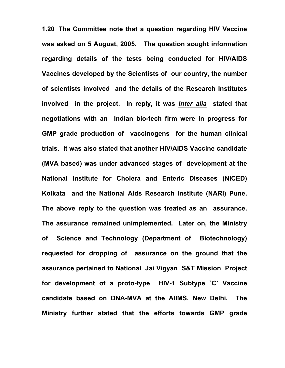**1.20 The Committee note that a question regarding HIV Vaccine was asked on 5 August, 2005. The question sought information regarding details of the tests being conducted for HIV/AIDS Vaccines developed by the Scientists of our country, the number of scientists involved and the details of the Research Institutes involved in the project. In reply, it was** *inter alia* **stated that negotiations with an Indian bio-tech firm were in progress for GMP grade production of vaccinogens for the human clinical trials. It was also stated that another HIV/AIDS Vaccine candidate (MVA based) was under advanced stages of development at the National Institute for Cholera and Enteric Diseases (NICED) Kolkata and the National Aids Research Institute (NARI) Pune. The above reply to the question was treated as an assurance. The assurance remained unimplemented. Later on, the Ministry of Science and Technology (Department of Biotechnology) requested for dropping of assurance on the ground that the assurance pertained to National Jai Vigyan S&T Mission Project for development of a proto-type HIV-1 Subtype `C' Vaccine candidate based on DNA-MVA at the AIIMS, New Delhi. The Ministry further stated that the efforts towards GMP grade**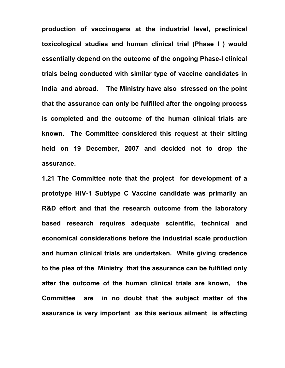**production of vaccinogens at the industrial level, preclinical toxicological studies and human clinical trial (Phase I ) would essentially depend on the outcome of the ongoing Phase-I clinical trials being conducted with similar type of vaccine candidates in India and abroad. The Ministry have also stressed on the point that the assurance can only be fulfilled after the ongoing process is completed and the outcome of the human clinical trials are known. The Committee considered this request at their sitting held on 19 December, 2007 and decided not to drop the assurance.** 

**1.21 The Committee note that the project for development of a prototype HIV-1 Subtype C Vaccine candidate was primarily an R&D effort and that the research outcome from the laboratory based research requires adequate scientific, technical and economical considerations before the industrial scale production and human clinical trials are undertaken. While giving credence to the plea of the Ministry that the assurance can be fulfilled only after the outcome of the human clinical trials are known, the Committee are in no doubt that the subject matter of the assurance is very important as this serious ailment is affecting**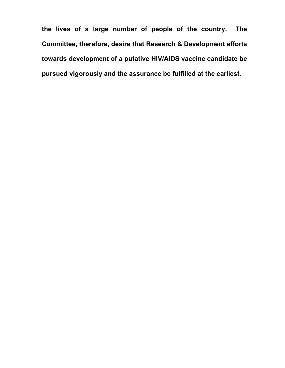**the lives of a large number of people of the country. The Committee, therefore, desire that Research & Development efforts towards development of a putative HIV/AIDS vaccine candidate be pursued vigorously and the assurance be fulfilled at the earliest.**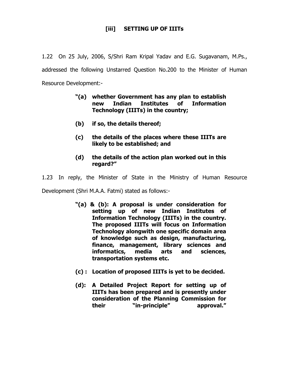# **[iii] SETTING UP OF IIITs**

1.22 On 25 July, 2006, S/Shri Ram Kripal Yadav and E.G. Sugavanam, M.Ps., addressed the following Unstarred Question No.200 to the Minister of Human Resource Development:-

- **"(a) whether Government has any plan to establish new Indian Institutes of Information Technology (IIITs) in the country;**
- **(b) if so, the details thereof;**
- **(c) the details of the places where these IIITs are likely to be established; and**
- **(d) the details of the action plan worked out in this regard?"**

1.23 In reply, the Minister of State in the Ministry of Human Resource

Development (Shri M.A.A. Fatmi) stated as follows:-

- **"(a) & (b): A proposal is under consideration for setting up of new Indian Institutes of Information Technology (IIITs) in the country. The proposed IIITs will focus on Information Technology alongwith one specific domain area of knowledge such as design, manufacturing, finance, management, library sciences and informatics, media arts and sciences, transportation systems etc.**
- **(c) : Location of proposed IIITs is yet to be decided.**
- **(d): A Detailed Project Report for setting up of IIITs has been prepared and is presently under consideration of the Planning Commission for their "in-principle" approval."**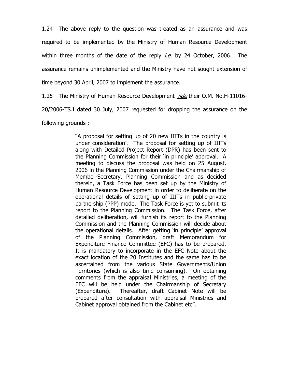1.24 The above reply to the question was treated as an assurance and was required to be implemented by the Ministry of Human Resource Development within three months of the date of the reply  $i.e.$  by 24 October, 2006. The assurance remains unimplemented and the Ministry have not sought extension of time beyond 30 April, 2007 to implement the assurance.

1.25 The Ministry of Human Resource Development vide their O.M. No.H-11016-

20/2006-TS.I dated 30 July, 2007 requested for dropping the assurance on the

following grounds :-

"A proposal for setting up of 20 new IIITs in the country is under consideration'. The proposal for setting up of IIITs along with Detailed Project Report (DPR) has been sent to the Planning Commission for their 'in principle' approval. A meeting to discuss the proposal was held on 25 August, 2006 in the Planning Commission under the Chairmanship of Member-Secretary, Planning Commission and as decided therein, a Task Force has been set up by the Ministry of Human Resource Development in order to deliberate on the operational details of setting up of IIITs in public-private partnership (PPP) mode. The Task Force is yet to submit its report to the Planning Commission. The Task Force, after detailed deliberation, will furnish its report to the Planning Commission and the Planning Commission will decide about the operational details. After getting 'in principle' approval of the Planning Commission, draft Memorandum for Expenditure Finance Committee (EFC) has to be prepared. It is mandatory to incorporate in the EFC Note about the exact location of the 20 Institutes and the same has to be ascertained from the various State Governments/Union Territories (which is also time consuming). On obtaining comments from the appraisal Ministries, a meeting of the EFC will be held under the Chairmanship of Secretary (Expenditure). Thereafter, draft Cabinet Note will be prepared after consultation with appraisal Ministries and Cabinet approval obtained from the Cabinet etc".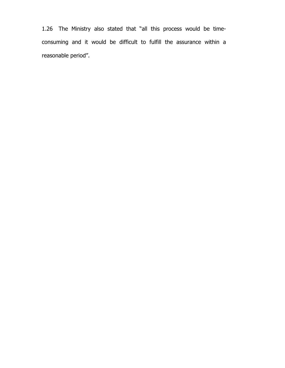1.26 The Ministry also stated that "all this process would be timeconsuming and it would be difficult to fulfill the assurance within a reasonable period".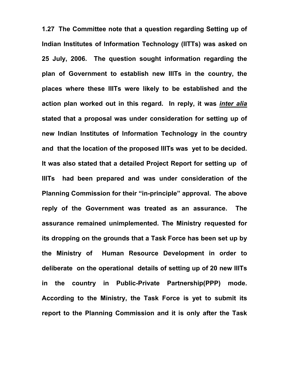**1.27 The Committee note that a question regarding Setting up of Indian Institutes of Information Technology (IITTs) was asked on 25 July, 2006. The question sought information regarding the plan of Government to establish new IIITs in the country, the places where these IIITs were likely to be established and the action plan worked out in this regard. In reply, it was** *inter alia* **stated that a proposal was under consideration for setting up of new Indian Institutes of Information Technology in the country and that the location of the proposed IIITs was yet to be decided. It was also stated that a detailed Project Report for setting up of IIITs had been prepared and was under consideration of the Planning Commission for their "in-principle" approval. The above reply of the Government was treated as an assurance. The assurance remained unimplemented. The Ministry requested for its dropping on the grounds that a Task Force has been set up by the Ministry of Human Resource Development in order to deliberate on the operational details of setting up of 20 new IIITs in the country in Public-Private Partnership(PPP) mode. According to the Ministry, the Task Force is yet to submit its report to the Planning Commission and it is only after the Task**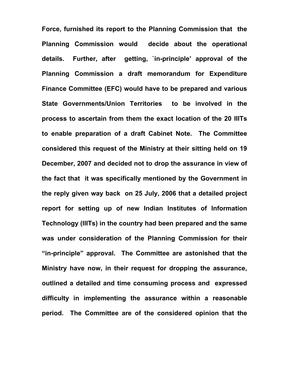**Force, furnished its report to the Planning Commission that the Planning Commission would decide about the operational details. Further, after getting, `in-principle' approval of the Planning Commission a draft memorandum for Expenditure Finance Committee (EFC) would have to be prepared and various State Governments/Union Territories to be involved in the process to ascertain from them the exact location of the 20 IIITs to enable preparation of a draft Cabinet Note. The Committee considered this request of the Ministry at their sitting held on 19 December, 2007 and decided not to drop the assurance in view of the fact that it was specifically mentioned by the Government in the reply given way back on 25 July, 2006 that a detailed project report for setting up of new Indian Institutes of Information Technology (IIITs) in the country had been prepared and the same was under consideration of the Planning Commission for their "in-principle" approval. The Committee are astonished that the Ministry have now, in their request for dropping the assurance, outlined a detailed and time consuming process and expressed difficulty in implementing the assurance within a reasonable period. The Committee are of the considered opinion that the**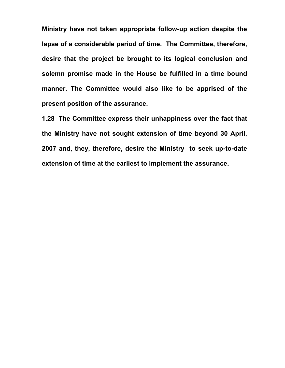**Ministry have not taken appropriate follow-up action despite the lapse of a considerable period of time. The Committee, therefore, desire that the project be brought to its logical conclusion and solemn promise made in the House be fulfilled in a time bound manner. The Committee would also like to be apprised of the present position of the assurance.** 

**1.28 The Committee express their unhappiness over the fact that the Ministry have not sought extension of time beyond 30 April, 2007 and, they, therefore, desire the Ministry to seek up-to-date extension of time at the earliest to implement the assurance.**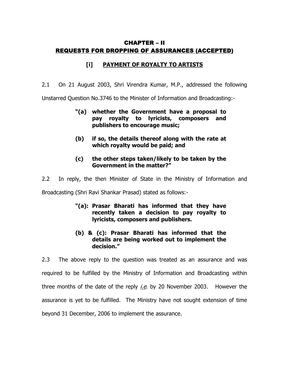## CHAPTER – II REQUESTS FOR DROPPING OF ASSURANCES (ACCEPTED)

## **[i] PAYMENT OF ROYALTY TO ARTISTS**

2.1 On 21 August 2003, Shri Virendra Kumar, M.P., addressed the following

Unstarred Question No.3746 to the Minister of Information and Broadcasting:-

- **"(a) whether the Government have a proposal to pay royalty to lyricists, composers and publishers to encourage music;**
- **(b) if so, the details thereof along with the rate at which royalty would be paid; and**
- **(c) the other steps taken/likely to be taken by the Government in the matter?"**

2.2 In reply, the then Minister of State in the Ministry of Information and

Broadcasting (Shri Ravi Shankar Prasad) stated as follows:-

- **"(a): Prasar Bharati has informed that they have recently taken a decision to pay royalty to lyricists, composers and publishers.**
- **(b) & (c): Prasar Bharati has informed that the details are being worked out to implement the decision."**

2.3 The above reply to the question was treated as an assurance and was required to be fulfilled by the Ministry of Information and Broadcasting within three months of the date of the reply *i.e.* by 20 November 2003. However the assurance is yet to be fulfilled. The Ministry have not sought extension of time beyond 31 December, 2006 to implement the assurance.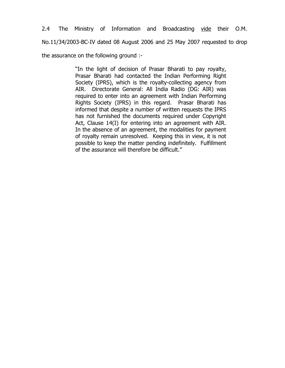2.4 The Ministry of Information and Broadcasting vide their O.M. No.11/34/2003-BC-IV dated 08 August 2006 and 25 May 2007 requested to drop the assurance on the following ground :-

> "In the light of decision of Prasar Bharati to pay royalty, Prasar Bharati had contacted the Indian Performing Right Society (IPRS), which is the royalty-collecting agency from AIR. Directorate General: All India Radio (DG: AIR) was required to enter into an agreement with Indian Performing Rights Society (IPRS) in this regard. Prasar Bharati has informed that despite a number of written requests the IPRS has not furnished the documents required under Copyright Act, Clause 14(I) for entering into an agreement with AIR. In the absence of an agreement, the modalities for payment of royalty remain unresolved. Keeping this in view, it is not possible to keep the matter pending indefinitely. Fulfillment of the assurance will therefore be difficult."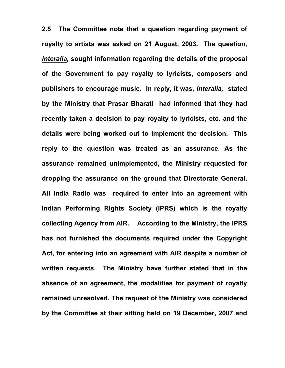**2.5 The Committee note that a question regarding payment of royalty to artists was asked on 21 August, 2003. The question,**  *interalia,* **sought information regarding the details of the proposal of the Government to pay royalty to lyricists, composers and publishers to encourage music. In reply, it was,** *interalia,* **stated by the Ministry that Prasar Bharati had informed that they had recently taken a decision to pay royalty to lyricists, etc. and the details were being worked out to implement the decision. This reply to the question was treated as an assurance. As the assurance remained unimplemented, the Ministry requested for dropping the assurance on the ground that Directorate General, All India Radio was required to enter into an agreement with Indian Performing Rights Society (IPRS) which is the royalty collecting Agency from AIR. According to the Ministry, the IPRS has not furnished the documents required under the Copyright Act, for entering into an agreement with AIR despite a number of written requests. The Ministry have further stated that in the absence of an agreement, the modalities for payment of royalty remained unresolved. The request of the Ministry was considered by the Committee at their sitting held on 19 December, 2007 and**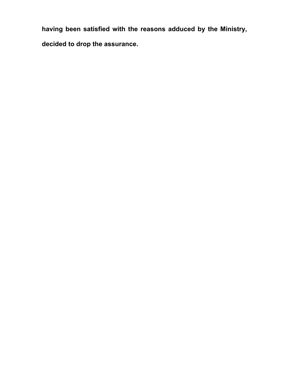**having been satisfied with the reasons adduced by the Ministry, decided to drop the assurance.**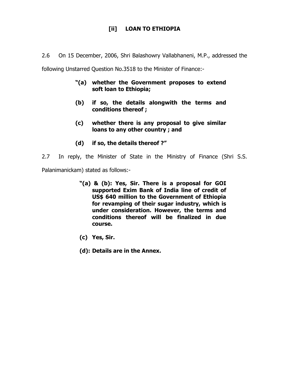# **[ii] LOAN TO ETHIOPIA**

2.6 On 15 December, 2006, Shri Balashowry Vallabhaneni, M.P., addressed the

following Unstarred Question No.3518 to the Minister of Finance:-

- **"(a) whether the Government proposes to extend soft loan to Ethiopia;**
- **(b) if so, the details alongwith the terms and conditions thereof ;**
- **(c) whether there is any proposal to give similar loans to any other country ; and**
- **(d) if so, the details thereof ?"**

2.7 In reply, the Minister of State in the Ministry of Finance (Shri S.S.

Palanimanickam) stated as follows:-

- **"(a) & (b): Yes, Sir. There is a proposal for GOI supported Exim Bank of India line of credit of US\$ 640 million to the Government of Ethiopia for revamping of their sugar industry, which is under consideration. However, the terms and conditions thereof will be finalized in due course.**
- **(c) Yes, Sir.**
- **(d): Details are in the Annex.**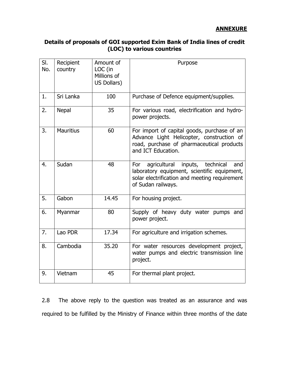### **ANNEXURE**

## **Details of proposals of GOI supported Exim Bank of India lines of credit (LOC) to various countries**

| SI.<br>No. | Recipient<br>country | Amount of<br>LOC (in<br>Millions of<br>US Dollars) | Purpose                                                                                                                                                               |
|------------|----------------------|----------------------------------------------------|-----------------------------------------------------------------------------------------------------------------------------------------------------------------------|
| 1.         | Sri Lanka            | 100                                                | Purchase of Defence equipment/supplies.                                                                                                                               |
| 2.         | <b>Nepal</b>         | 35                                                 | For various road, electrification and hydro-<br>power projects.                                                                                                       |
| 3.         | <b>Mauritius</b>     | 60                                                 | For import of capital goods, purchase of an<br>Advance Light Helicopter, construction of<br>road, purchase of pharmaceutical products<br>and ICT Education.           |
| 4.         | Sudan                | 48                                                 | agricultural inputs,<br>technical<br>For<br>and<br>laboratory equipment, scientific equipment,<br>solar electrification and meeting requirement<br>of Sudan railways. |
| 5.         | Gabon                | 14.45                                              | For housing project.                                                                                                                                                  |
| 6.         | Myanmar              | 80                                                 | Supply of heavy duty water pumps and<br>power project.                                                                                                                |
| 7.         | Lao PDR              | 17.34                                              | For agriculture and irrigation schemes.                                                                                                                               |
| 8.         | Cambodia             | 35.20                                              | For water resources development project,<br>water pumps and electric transmission line<br>project.                                                                    |
| 9.         | Vietnam              | 45                                                 | For thermal plant project.                                                                                                                                            |

2.8 The above reply to the question was treated as an assurance and was required to be fulfilled by the Ministry of Finance within three months of the date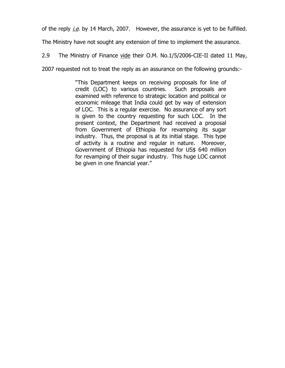of the reply *i.e.* by 14 March, 2007. However, the assurance is yet to be fulfilled.

The Ministry have not sought any extension of time to implement the assurance.

2.9 The Ministry of Finance vide their O.M. No.1/5/2006-CIE-II dated 11 May,

2007 requested not to treat the reply as an assurance on the following grounds:-

"This Department keeps on receiving proposals for line of credit (LOC) to various countries. Such proposals are examined with reference to strategic location and political or economic mileage that India could get by way of extension of LOC. This is a regular exercise. No assurance of any sort is given to the country requesting for such LOC. In the present context, the Department had received a proposal from Government of Ethiopia for revamping its sugar industry. Thus, the proposal is at its initial stage. This type of activity is a routine and regular in nature. Moreover, Government of Ethiopia has requested for US\$ 640 million for revamping of their sugar industry. This huge LOC cannot be given in one financial year."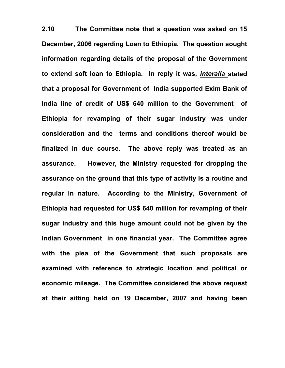**2.10 The Committee note that a question was asked on 15 December, 2006 regarding Loan to Ethiopia. The question sought information regarding details of the proposal of the Government to extend soft loan to Ethiopia. In reply it was,** *interalia* **stated that a proposal for Government of India supported Exim Bank of India line of credit of US\$ 640 million to the Government of Ethiopia for revamping of their sugar industry was under consideration and the terms and conditions thereof would be finalized in due course. The above reply was treated as an assurance. However, the Ministry requested for dropping the assurance on the ground that this type of activity is a routine and regular in nature. According to the Ministry, Government of Ethiopia had requested for US\$ 640 million for revamping of their sugar industry and this huge amount could not be given by the Indian Government in one financial year. The Committee agree with the plea of the Government that such proposals are examined with reference to strategic location and political or economic mileage. The Committee considered the above request at their sitting held on 19 December, 2007 and having been**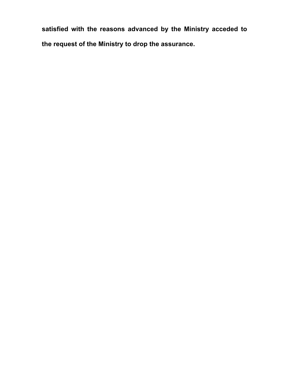**satisfied with the reasons advanced by the Ministry acceded to the request of the Ministry to drop the assurance.**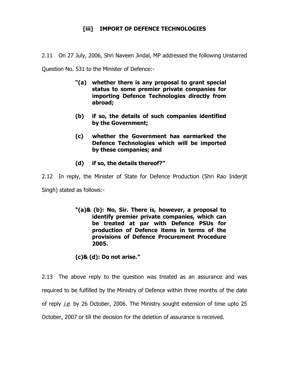# **[iii] IMPORT OF DEFENCE TECHNOLOGIES**

2.11 On 27 July, 2006, Shri Naveen Jindal, MP addressed the following Unstarred

Question No. 531 to the Minister of Defence:-

- **"(a) whether there is any proposal to grant special status to some premier private companies for importing Defence Technologies directly from abroad;**
- **(b) if so, the details of such companies identified by the Government;**
- **(c) whether the Government has earmarked the Defence Technologies which will be imported by these companies; and**
- **(d) if so, the details thereof?"**

2.12 In reply, the Minister of State for Defence Production (Shri Rao Inderjit Singh) stated as follows:-

> **"(a)& (b): No, Sir. There is, however, a proposal to identify premier private companies, which can be treated at par with Defence PSUs for production of Defence items in terms of the provisions of Defence Procurement Procedure 2005.**

**(c)& (d): Do not arise."** 

2.13 The above reply to the question was treated as an assurance and was required to be fulfilled by the Ministry of Defence within three months of the date of reply  $i.e.$  by 26 October, 2006. The Ministry sought extension of time upto 25 October, 2007 or till the decision for the deletion of assurance is received.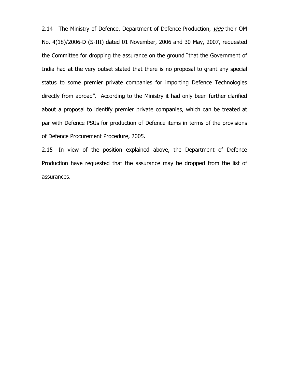2.14 The Ministry of Defence, Department of Defence Production, vide their OM No. 4(18)/2006-D (S-III) dated 01 November, 2006 and 30 May, 2007, requested the Committee for dropping the assurance on the ground "that the Government of India had at the very outset stated that there is no proposal to grant any special status to some premier private companies for importing Defence Technologies directly from abroad". According to the Ministry it had only been further clarified about a proposal to identify premier private companies, which can be treated at par with Defence PSUs for production of Defence items in terms of the provisions of Defence Procurement Procedure, 2005.

2.15 In view of the position explained above, the Department of Defence Production have requested that the assurance may be dropped from the list of assurances.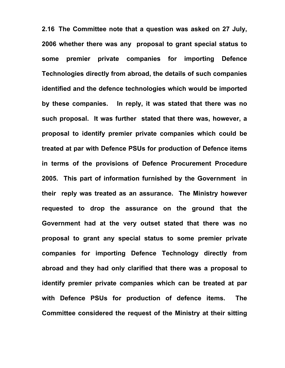**2.16 The Committee note that a question was asked on 27 July, 2006 whether there was any proposal to grant special status to some premier private companies for importing Defence Technologies directly from abroad, the details of such companies identified and the defence technologies which would be imported by these companies. In reply, it was stated that there was no such proposal. It was further stated that there was, however, a proposal to identify premier private companies which could be treated at par with Defence PSUs for production of Defence items in terms of the provisions of Defence Procurement Procedure 2005. This part of information furnished by the Government in their reply was treated as an assurance. The Ministry however requested to drop the assurance on the ground that the Government had at the very outset stated that there was no proposal to grant any special status to some premier private companies for importing Defence Technology directly from abroad and they had only clarified that there was a proposal to identify premier private companies which can be treated at par with Defence PSUs for production of defence items. The Committee considered the request of the Ministry at their sitting**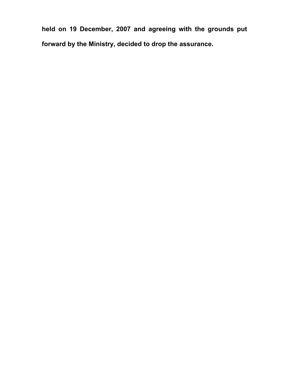**held on 19 December, 2007 and agreeing with the grounds put forward by the Ministry, decided to drop the assurance.**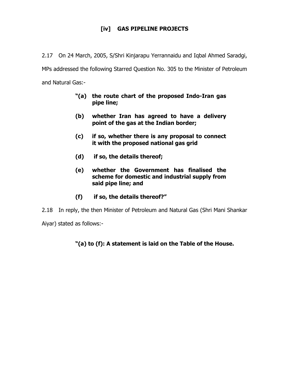# **[iv] GAS PIPELINE PROJECTS**

2.17 On 24 March, 2005, S/Shri Kinjarapu Yerrannaidu and Iqbal Ahmed Saradgi,

MPs addressed the following Starred Question No. 305 to the Minister of Petroleum and Natural Gas:-

- **"(a) the route chart of the proposed Indo-Iran gas pipe line;**
- **(b) whether Iran has agreed to have a delivery point of the gas at the Indian border;**
- **(c) if so, whether there is any proposal to connect it with the proposed national gas grid**
- **(d) if so, the details thereof;**
- **(e) whether the Government has finalised the scheme for domestic and industrial supply from said pipe line; and**
- **(f) if so, the details thereof?"**

2.18 In reply, the then Minister of Petroleum and Natural Gas (Shri Mani Shankar

Aiyar) stated as follows:-

# **"(a) to (f): A statement is laid on the Table of the House.**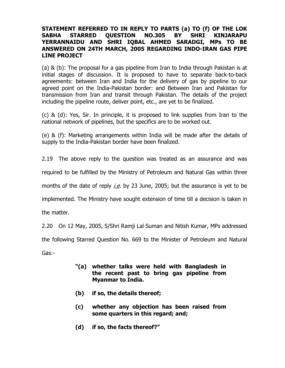### **STATEMENT REFERRED TO IN REPLY TO PARTS (a) TO (f) OF THE LOK SABHA STARRED QUESTION NO.305 BY SHRI KINJARAPU YERRANNAIDU AND SHRI IQBAL AHMED SARADGI, MPs TO BE ANSWERED ON 24TH MARCH, 2005 REGARDING INDO-IRAN GAS PIPE LINE PROJECT**

(a) & (b): The proposal for a gas pipeline from Iran to India through Pakistan is at initial stages of discussion. It is proposed to have to separate back-to-back agreements: between Iran and India for the delivery of gas by pipeline to our agreed point on the India-Pakistan border: and Between Iran and Pakistan for transmission from Iran and transit through Pakistan. The details of the project including the pipeline route, deliver point, etc., are yet to be finalized.

(c) & (d): Yes, Sir. In principle, it is proposed to link supplies from Iran to the national network of pipelines, but the specifics are to be worked out.

(e) & (f): Marketing arrangements within India will be made after the details of supply to the India-Pakistan border have been finalized.

2.19 The above reply to the question was treated as an assurance and was

required to be fulfilled by the Ministry of Petroleum and Natural Gas within three

months of the date of reply  $i.e.$  by 23 June, 2005; but the assurance is yet to be

implemented. The Ministry have sought extension of time till a decision is taken in

the matter.

2.20 On 12 May, 2005, S/Shri Ramji Lal Suman and Nitish Kumar, MPs addressed

the following Starred Question No. 669 to the Minister of Petroleum and Natural

Gas:-

- **"(a) whether talks were held with Bangladesh in the recent past to bring gas pipeline from Myanmar to India.**
- **(b) if so, the details thereof;**
- **(c) whether any objection has been raised from some quarters in this regard; and;**
- **(d) if so, the facts thereof?"**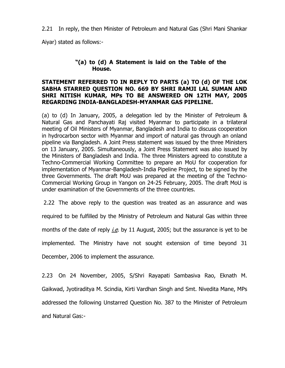2.21 In reply, the then Minister of Petroleum and Natural Gas (Shri Mani Shankar

Aiyar) stated as follows:-

### **"(a) to (d) A Statement is laid on the Table of the House.**

### **STATEMENT REFERRED TO IN REPLY TO PARTS (a) TO (d) OF THE LOK SABHA STARRED QUESTION NO. 669 BY SHRI RAMJI LAL SUMAN AND SHRI NITISH KUMAR, MPs TO BE ANSWERED ON 12TH MAY, 2005 REGARDING INDIA-BANGLADESH-MYANMAR GAS PIPELINE.**

(a) to (d) In January, 2005, a delegation led by the Minister of Petroleum & Natural Gas and Panchayati Raj visited Myanmar to participate in a trilateral meeting of Oil Ministers of Myanmar, Bangladesh and India to discuss cooperation in hydrocarbon sector with Myanmar and import of natural gas through an onland pipeline via Bangladesh. A Joint Press statement was issued by the three Ministers on 13 January, 2005. Simultaneously, a Joint Press Statement was also issued by the Ministers of Bangladesh and India. The three Ministers agreed to constitute a Techno-Commercial Working Committee to prepare an MoU for cooperation for implementation of Myanmar-Bangladesh-India Pipeline Project, to be signed by the three Governments. The draft MoU was prepared at the meeting of the Techno-Commercial Working Group in Yangon on 24-25 February, 2005. The draft MoU is under examination of the Governments of the three countries.

2.22 The above reply to the question was treated as an assurance and was

required to be fulfilled by the Ministry of Petroleum and Natural Gas within three

months of the date of reply  $i.e.$  by 11 August, 2005; but the assurance is yet to be

implemented. The Ministry have not sought extension of time beyond 31

December, 2006 to implement the assurance.

2.23 On 24 November, 2005, S/Shri Rayapati Sambasiva Rao, Eknath M. Gaikwad, Jyotiraditya M. Scindia, Kirti Vardhan Singh and Smt. Nivedita Mane, MPs addressed the following Unstarred Question No. 387 to the Minister of Petroleum and Natural Gas:-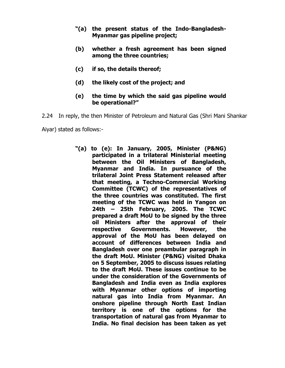- **"(a) the present status of the Indo-Bangladesh-Myanmar gas pipeline project;**
- **(b) whether a fresh agreement has been signed among the three countries;**
- **(c) if so, the details thereof;**
- **(d) the likely cost of the project; and**
- **(e) the time by which the said gas pipeline would be operational?"**

2.24 In reply, the then Minister of Petroleum and Natural Gas (Shri Mani Shankar

Aiyar) stated as follows:-

**"(a) to (e): In January, 2005, Minister (P&NG) participated in a trilateral Ministerial meeting between the Oil Ministers of Bangladesh, Myanmar and India. In pursuance of the trilateral Joint Press Statement released after that meeting, a Techno-Commercial Working Committee (TCWC) of the representatives of the three countries was constituted. The first meeting of the TCWC was held in Yangon on 24th – 25th February, 2005. The TCWC prepared a draft MoU to be signed by the three oil Ministers after the approval of their respective Governments. However, the approval of the MoU has been delayed on account of differences between India and Bangladesh over one preambular paragraph in the draft MoU. Minister (P&NG) visited Dhaka on 5 September, 2005 to discuss issues relating to the draft MoU. These issues continue to be under the consideration of the Governments of Bangladesh and India even as India explores with Myanmar other options of importing natural gas into India from Myanmar. An onshore pipeline through North East Indian territory is one of the options for the transportation of natural gas from Myanmar to India. No final decision has been taken as yet**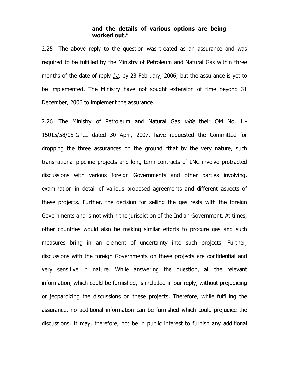### **and the details of various options are being worked out."**

2.25 The above reply to the question was treated as an assurance and was required to be fulfilled by the Ministry of Petroleum and Natural Gas within three months of the date of reply  $\text{i.e.}$  by 23 February, 2006; but the assurance is yet to be implemented. The Ministry have not sought extension of time beyond 31 December, 2006 to implement the assurance.

2.26 The Ministry of Petroleum and Natural Gas vide their OM No. L.-15015/58/05-GP.II dated 30 April, 2007, have requested the Committee for dropping the three assurances on the ground "that by the very nature, such transnational pipeline projects and long term contracts of LNG involve protracted discussions with various foreign Governments and other parties involving, examination in detail of various proposed agreements and different aspects of these projects. Further, the decision for selling the gas rests with the foreign Governments and is not within the jurisdiction of the Indian Government. At times, other countries would also be making similar efforts to procure gas and such measures bring in an element of uncertainty into such projects. Further, discussions with the foreign Governments on these projects are confidential and very sensitive in nature. While answering the question, all the relevant information, which could be furnished, is included in our reply, without prejudicing or jeopardizing the discussions on these projects. Therefore, while fulfilling the assurance, no additional information can be furnished which could prejudice the discussions. It may, therefore, not be in public interest to furnish any additional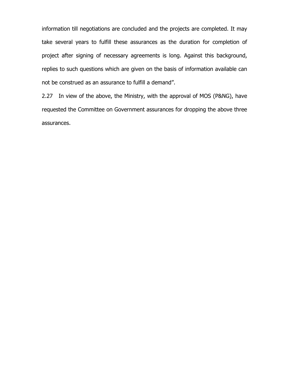information till negotiations are concluded and the projects are completed. It may take several years to fulfill these assurances as the duration for completion of project after signing of necessary agreements is long. Against this background, replies to such questions which are given on the basis of information available can not be construed as an assurance to fulfill a demand".

2.27 In view of the above, the Ministry, with the approval of MOS (P&NG), have requested the Committee on Government assurances for dropping the above three assurances.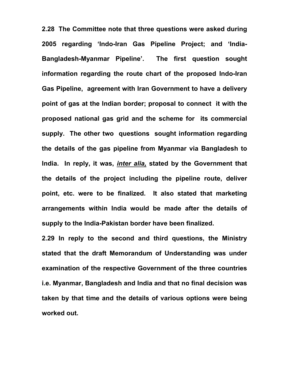**2.28 The Committee note that three questions were asked during 2005 regarding 'Indo-Iran Gas Pipeline Project; and 'India-Bangladesh-Myanmar Pipeline'. The first question sought information regarding the route chart of the proposed Indo-Iran Gas Pipeline, agreement with Iran Government to have a delivery point of gas at the Indian border; proposal to connect it with the proposed national gas grid and the scheme for its commercial supply. The other two questions sought information regarding the details of the gas pipeline from Myanmar via Bangladesh to India. In reply, it was,** *inter alia,* **stated by the Government that the details of the project including the pipeline route, deliver point, etc. were to be finalized. It also stated that marketing arrangements within India would be made after the details of supply to the India-Pakistan border have been finalized.** 

**2.29 In reply to the second and third questions, the Ministry stated that the draft Memorandum of Understanding was under examination of the respective Government of the three countries i.e. Myanmar, Bangladesh and India and that no final decision was taken by that time and the details of various options were being worked out.**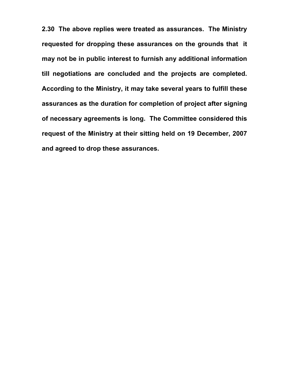**2.30 The above replies were treated as assurances. The Ministry requested for dropping these assurances on the grounds that it may not be in public interest to furnish any additional information till negotiations are concluded and the projects are completed. According to the Ministry, it may take several years to fulfill these assurances as the duration for completion of project after signing of necessary agreements is long. The Committee considered this request of the Ministry at their sitting held on 19 December, 2007 and agreed to drop these assurances.**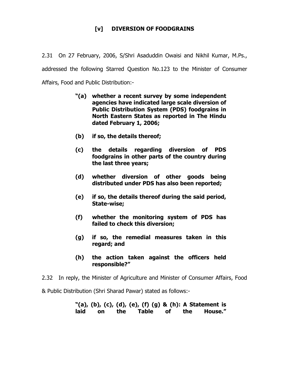# **[v] DIVERSION OF FOODGRAINS**

2.31 On 27 February, 2006, S/Shri Asaduddin Owaisi and Nikhil Kumar, M.Ps., addressed the following Starred Question No.123 to the Minister of Consumer Affairs, Food and Public Distribution:-

- **"(a) whether a recent survey by some independent agencies have indicated large scale diversion of Public Distribution System (PDS) foodgrains in North Eastern States as reported in The Hindu dated February 1, 2006;**
- **(b) if so, the details thereof;**
- **(c) the details regarding diversion of PDS foodgrains in other parts of the country during the last three years;**
- **(d) whether diversion of other goods being distributed under PDS has also been reported;**
- **(e) if so, the details thereof during the said period, State-wise;**
- **(f) whether the monitoring system of PDS has failed to check this diversion;**
- **(g) if so, the remedial measures taken in this regard; and**
- **(h) the action taken against the officers held responsible?"**
- 2.32 In reply, the Minister of Agriculture and Minister of Consumer Affairs, Food

& Public Distribution (Shri Sharad Pawar) stated as follows:-

### **"(a), (b), (c), (d), (e), (f) (g) & (h): A Statement is laid on the Table of the House."**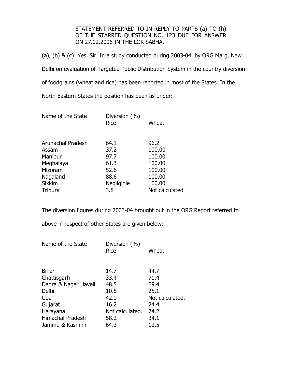STATEMENT REFERRED TO IN REPLY TO PARTS (a) TO (h) OF THE STARRED QUESTION NO. 123 DUE FOR ANSWER ON 27.02.2006 IN THE LOK SABHA.

(a), (b) & (c): Yes, Sir. In a study conducted during 2003-04, by ORG Marg, New Delhi on evaluation of Targeted Public Distribution System in the country diversion of foodgrains (wheat and rice) has been reported in most of the States. In the North Eastern States the position has been as under:-

| Name of the State        | Diversion (%)<br><b>Rice</b> | Wheat          |
|--------------------------|------------------------------|----------------|
| <b>Arunachal Pradesh</b> | 64.1                         | 96.2           |
| Assam                    | 37.2                         | 100.00         |
| Manipur                  | 97.7                         | 100.00         |
| Meghalaya                | 61.3                         | 100.00         |
| Mizoram                  | 52.6                         | 100.00         |
| Nagaland                 | 88.6                         | 100.00         |
| <b>Sikkim</b>            | Negligible                   | 100.00         |
| <b>Tripura</b>           | 3.8                          | Not calculated |

The diversion figures during 2003-04 brought out in the ORG Report referred to

above in respect of other States are given below:

| Diversion (%)<br><b>Rice</b> | Wheat           |
|------------------------------|-----------------|
| 14.7                         | 44.7            |
| 33.4                         | 71.4            |
| 48.5                         | 69.4            |
| 10.5                         | 25.1            |
| 42.9                         | Not calculated. |
| 16.2                         | 24.4            |
| Not calculated.              | 74.2            |
| 58.2                         | 34.1            |
| 64.3                         | 13.5            |
|                              |                 |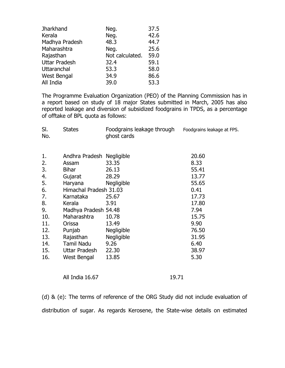| <b>Jharkhand</b>     | Neg.            | 37.5 |
|----------------------|-----------------|------|
| Kerala               | Neg.            | 42.6 |
| Madhya Pradesh       | 48.3            | 44.7 |
| Maharashtra          | Neg.            | 25.6 |
| Rajasthan            | Not calculated. | 59.0 |
| <b>Uttar Pradesh</b> | 32.4            | 59.1 |
| Uttaranchal          | 53.3            | 58.0 |
| West Bengal          | 34.9            | 86.6 |
| All India            | 39.0            | 53.3 |

The Programme Evaluation Organization (PEO) of the Planning Commission has in a report based on study of 18 major States submitted in March, 2005 has also reported leakage and diversion of subsidized foodgrains in TPDS, as a percentage of offtake of BPL quota as follows:

| SI.<br>No. | <b>States</b>                      | Foodgrains leakage through<br>ghost cards | Foodgrains leakage at FPS. |
|------------|------------------------------------|-------------------------------------------|----------------------------|
| 1.<br>2.   | Andhra Pradesh Negligible<br>Assam | 33.35                                     | 20.60<br>8.33              |
| 3.         | <b>Bihar</b>                       | 26.13                                     | 55.41                      |
| 4.         | Gujarat                            | 28.29                                     | 13.77                      |
| 5.         | Haryana                            | Negligible                                | 55.65                      |
| 6.         | Himachal Pradesh 31.03             |                                           | 0.41                       |
| 7.         | Karnataka                          | 25.67                                     | 17.73                      |
| 8.         | Kerala                             | 3.91                                      | 17.80                      |
| 9.         | Madhya Pradesh 54.48               |                                           | 7.94                       |
| 10.        | Maharashtra                        | 10.78                                     | 15.75                      |
| 11.        | Orissa                             | 13.49                                     | 9.90                       |
| 12.        | Punjab                             | <b>Negligible</b>                         | 76.50                      |
| 13.        | Rajasthan                          | <b>Negligible</b>                         | 31.95                      |
| 14.        | <b>Tamil Nadu</b>                  | 9.26                                      | 6.40                       |
| 15.        | Uttar Pradesh                      | 22.30                                     | 38.97                      |
| 16.        | West Bengal                        | 13.85                                     | 5.30                       |
|            |                                    |                                           |                            |

All India 16.67 19.71

(d) & (e): The terms of reference of the ORG Study did not include evaluation of distribution of sugar. As regards Kerosene, the State-wise details on estimated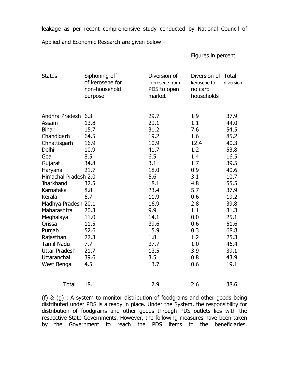leakage as per recent comprehensive study conducted by National Council of

Applied and Economic Research are given below:-

Figures in percent

| <b>States</b>        | Siphoning off<br>of kerosene for<br>non-household<br>purpose | Diversion of<br>kerosene from<br>PDS to open<br>market | Diversion of Total<br>kerosene to<br>no card<br>households | diversion |
|----------------------|--------------------------------------------------------------|--------------------------------------------------------|------------------------------------------------------------|-----------|
| Andhra Pradesh 6.3   |                                                              | 29.7                                                   | 1.9                                                        | 37.9      |
| Assam                | 13.8                                                         | 29.1                                                   | 1.1                                                        | 44.0      |
| <b>Bihar</b>         | 15.7                                                         | 31.2                                                   | 7.6                                                        | 54.5      |
| Chandigarh           | 64.5                                                         | 19.2                                                   | 1.6                                                        | 85.2      |
| Chhattisgarh         | 16.9                                                         | 10.9                                                   | 12.4                                                       | 40.3      |
| Delhi                | 10.9                                                         | 41.7                                                   | 1.2                                                        | 53.8      |
| Goa                  | 8.5                                                          | 6.5                                                    | 1.4                                                        | 16.5      |
| Gujarat              | 34.8                                                         | 3.1                                                    | 1.7                                                        | 39.5      |
| Haryana              | 21.7                                                         | 18.0                                                   | 0.9                                                        | 40.6      |
| Himachal Pradesh 2.0 |                                                              | 5.6                                                    | 3.1                                                        | 10.7      |
| <b>Jharkhand</b>     | 32.5                                                         | 18.1                                                   | 4.8                                                        | 55.5      |
| Karnataka            | 8.8                                                          | 23.4                                                   | 5.7                                                        | 37.9      |
| Kerala               | 6.7                                                          | 11.9                                                   | 0.6                                                        | 19.2      |
| Madhya Pradesh 20.1  |                                                              | 16.9                                                   | 2.8                                                        | 39.8      |
| Maharashtra          | 20.3                                                         | 9.9                                                    | 1.1                                                        | 31.3      |
| Meghalaya            | 11.0                                                         | 14.1                                                   | 0.0                                                        | 25.1      |
| Orissa               | 11.5                                                         | 39.6                                                   | 0.6                                                        | 51.6      |
| Punjab               | 52.6                                                         | 15.9                                                   | 0.3                                                        | 68.8      |
| Rajasthan            | 22.3                                                         | 1.8                                                    | 1.2                                                        | 25.3      |
| <b>Tamil Nadu</b>    | 7.7                                                          | 37.7                                                   | 1.0                                                        | 46.4      |
| <b>Uttar Pradesh</b> | 21.7                                                         | 13.5                                                   | 3.9                                                        | 39.1      |
| Uttaranchal          | 39.6                                                         | 3.5                                                    | 0.8                                                        | 43.9      |
| West Bengal          | 4.5                                                          | 13.7                                                   | 0.6                                                        | 19.1      |
| <b>Total</b>         | 18.1                                                         | 17.9                                                   | 2.6                                                        | 38.6      |

(f) & (g) : A system to monitor distribution of foodgrains and other goods being distributed under PDS is already in place. Under the System, the responsibility for distribution of foodgrains and other goods through PDS outlets lies with the respective State Governments. However, the following measures have been taken by the Government to reach the PDS items to the beneficiaries.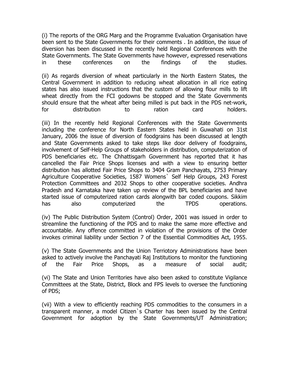(i) The reports of the ORG Marg and the Programme Evaluation Organisation have been sent to the State Governments for their comments . In addition, the issue of diversion has been discussed in the recently held Regional Conferences with the State Governments. The State Governments have however, expressed reservations in these conferences on the findings of the studies.

(ii) As regards diversion of wheat particularly in the North Eastern States, the Central Government in addition to reducing wheat allocation in all rice eating states has also issued instructions that the custom of allowing flour mills to lift wheat directly from the FCI godowns be stopped and the State Governments should ensure that the wheat after being milled is put back in the PDS net-work, for distribution to ration card holders.

(iii) In the recently held Regional Conferences with the State Governments including the conference for North Eastern States held in Guwahati on 31st January, 2006 the issue of diversion of foodgrains has been discussed at length and State Governments asked to take steps like door delivery of foodgrains, involvement of Self-Help Groups of stakeholders in distribution, computerization of PDS beneficiaries etc. The Chhattisgarh Government has reported that it has cancelled the Fair Price Shops licenses and with a view to ensuring better distribution has allotted Fair Price Shops to 3404 Gram Panchayats, 2753 Primary Agriculture Cooperative Societies, 1587 Womens` Self Help Groups, 243 Forest Protection Committees and 2032 Shops to other cooperative societies. Andhra Pradesh and Karnataka have taken up review of the BPL beneficiaries and have started issue of computerized ration cards alongwith bar coded coupons. Sikkim has also computerized the TPDS operations.

(iv) The Public Distribution System (Control) Order, 2001 was issued in order to streamline the functioning of the PDS and to make the same more effective and accountable. Any offence committed in violation of the provisions of the Order invokes criminal liability under Section 7 of the Essential Commodities Act, 1955.

(v) The State Governments and the Union Terriotory Administrations have been asked to actively involve the Panchayati Raj Institutions to monitor the functioning of the Fair Price Shops, as a measure of social audit;

(vi) The State and Union Territories have also been asked to constitute Vigilance Committees at the State, District, Block and FPS levels to oversee the functioning of PDS;

(vii) With a view to efficiently reaching PDS commodities to the consumers in a transparent manner, a model Citizen`s Charter has been issued by the Central Government for adoption by the State Governments/UT Administration;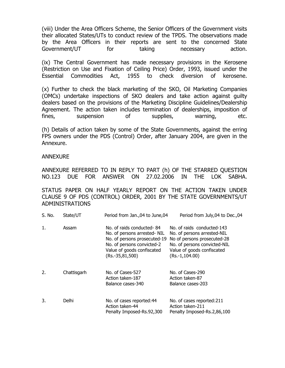(viii) Under the Area Officers Scheme, the Senior Officers of the Government visits their allocated States/UTs to conduct review of the TPDS. The observations made by the Area Officers in their reports are sent to the concerned State Government/UT for taking necessary action.

(ix) The Central Government has made necessary provisions in the Kerosene (Restriction on Use and Fixation of Ceiling Price) Order, 1993, issued under the Essential Commodities Act, 1955 to check diversion of kerosene.

(x) Further to check the black marketing of the SKO, Oil Marketing Companies (OMCs) undertake inspections of SKO dealers and take action against guilty dealers based on the provisions of the Marketing Discipline Guidelines/Dealership Agreement. The action taken includes termination of dealerships, imposition of fines, suspension of supplies, warning, etc.

(h) Details of action taken by some of the State Governments, against the erring FPS owners under the PDS (Control) Order, after January 2004, are given in the Annexure.

#### ANNEXURE

ANNEXURE REFERRED TO IN REPLY TO PART (h) OF THE STARRED QUESTION NO.123 DUE FOR ANSWER ON 27.02.2006 IN THE LOK SABHA.

STATUS PAPER ON HALF YEARLY REPORT ON THE ACTION TAKEN UNDER CLAUSE 9 OF PDS (CONTROL) ORDER, 2001 BY THE STATE GOVERNMENTS/UT ADMINISTRATIONS

| S. No. | State/UT    | Period from Jan., 04 to June, 04                                                                                                                                           | Period from July, 04 to Dec., 04                                                                                                                                           |
|--------|-------------|----------------------------------------------------------------------------------------------------------------------------------------------------------------------------|----------------------------------------------------------------------------------------------------------------------------------------------------------------------------|
| 1.     | Assam       | No. of raids conducted-84<br>No. of persons arrested- NIL<br>No. of persons prosecuted-19<br>No. of persons convicted-2<br>Value of goods confiscated<br>$(Rs.-35,81,500)$ | No. of raids conducted-143<br>No. of persons arrested-NIL<br>No of persons prosecuted-28<br>No. of persons convicted-NIL<br>Value of goods confiscated<br>$(Rs.-1,104.00)$ |
| 2.     | Chattisgarh | No. of Cases-527<br>Action taken-187<br>Balance cases-340                                                                                                                  | No. of Cases-290<br>Action taken-87<br>Balance cases-203                                                                                                                   |
| 3.     | Delhi       | No. of cases reported: 44<br>Action taken-44<br>Penalty Imposed-Rs.92,300                                                                                                  | No. of cases reported:211<br>Action taken-211<br>Penalty Imposed-Rs.2,86,100                                                                                               |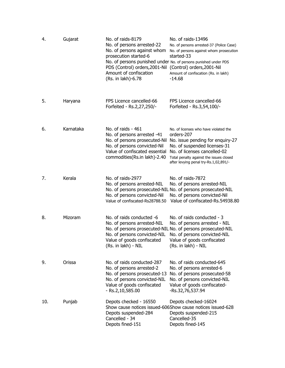| 4.  | Gujarat   | No. of raids-8179<br>No. of persons arrested-22<br>No. of persons against whom<br>prosecution started-6<br>No. of persons punished under No. of persons punished under PDS<br>PDS (Control) orders, 2001-Nil<br>Amount of confiscation<br>(Rs. in lakh)-6.78 | No. of raids-13496<br>No. of persons arrested-37 (Police Case)<br>No. of persons against whom prosecution<br>started-33<br>(Control) orders, 2001-Nil<br>Amount of confiscation (Rs. in lakh)<br>-14.68                                     |
|-----|-----------|--------------------------------------------------------------------------------------------------------------------------------------------------------------------------------------------------------------------------------------------------------------|---------------------------------------------------------------------------------------------------------------------------------------------------------------------------------------------------------------------------------------------|
| 5.  | Haryana   | FPS Licence cancelled-66<br>Forfeited - Rs.2,27,250/-                                                                                                                                                                                                        | FPS Licence cancelled-66<br>Forfeited - Rs.3,54,100/-                                                                                                                                                                                       |
| 6.  | Karnataka | No. of raids - 461<br>No. of persons arrested -41<br>No. of persons prosecuted-Nil<br>No. of persons convicted-Nil<br>Value of confiscated essential<br>commodities(Rs.in lakh)-2.40                                                                         | No. of licenses who have violated the<br>orders-207<br>No. issue pending for enquiry-27<br>No. of suspended licenses-31<br>No. of licenses cancelled-02<br>Total penalty against the issues closed<br>after levying penal try-Rs.1,02,891/- |
| 7.  | Kerala    | No. of raids-2977<br>No. of persons arrested-NIL<br>No. of persons convicted-Nil<br>Value of confiscated-Rs28788.50                                                                                                                                          | No. of raids-7872<br>No. of persons arrested-NIL<br>No. of persons prosecuted-NIL No. of persons prosecuted-NIL<br>No. of persons convicted-Nil<br>Value of confiscated-Rs.54938.80                                                         |
| 8.  | Mizoram   | No. of raids conducted -6<br>No. of persons arrested-NIL<br>No. of persons convicted-NIL<br>Value of goods confiscated<br>(Rs. in lakh) - NIL                                                                                                                | No. of raids conducted - 3<br>No. of persons arrested - NIL<br>No. of persons prosecuted-NIL No. of persons prosecuted-NIL<br>No. of persons convicted-NIL<br>Value of goods confiscated<br>(Rs. in lakh) - NIL                             |
| 9.  | Orissa    | No. of raids conducted-287<br>No. of persons arrested-2<br>No. of persons prosecuted-13<br>No. of persons convicted-NIL<br>Value of goods confiscated<br>- Rs.2,10,585.00                                                                                    | No. of raids conducted-645<br>No. of persons arrested-6<br>No. of persons prosecuted-58<br>No. of persons convicted-NIL<br>Value of goods confiscated-<br>-Rs.32,76,537.94                                                                  |
| 10. | Punjab    | Depots checked - 16550<br>Depots suspended-284<br>Cancelled - 34<br>Depots fined-151                                                                                                                                                                         | Depots checked-16024<br>Show cause notices issued-606Show cause notices issued-628<br>Depots suspended-215<br>Cancelled-35<br>Depots fined-145                                                                                              |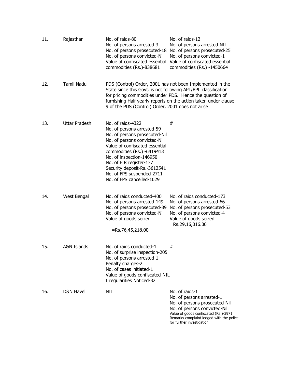| 11. | Rajasthan              | No. of raids-80<br>No. of persons arrested-3<br>No. of persons prosecuted-18<br>No. of persons convicted-Nil<br>Value of confiscated essential<br>commodities (Rs.)-838681                                                                                                                                                        | No. of raids-12<br>No. of persons arrested-NIL<br>No. of persons prosecuted-25<br>No. of persons convicted-1<br>Value of confiscated essential<br>commodities (Rs.) -1450664                                                    |
|-----|------------------------|-----------------------------------------------------------------------------------------------------------------------------------------------------------------------------------------------------------------------------------------------------------------------------------------------------------------------------------|---------------------------------------------------------------------------------------------------------------------------------------------------------------------------------------------------------------------------------|
| 12. | <b>Tamil Nadu</b>      | PDS (Control) Order, 2001 has not been Implemented in the<br>State since this Govt. is not following APL/BPL classification<br>for pricing commodities under PDS. Hence the question of<br>9 of the PDS (Control) Order, 2001 does not arise                                                                                      | furnishing Half yearly reports on the action taken under clause                                                                                                                                                                 |
| 13. | <b>Uttar Pradesh</b>   | No. of raids-4322<br>No. of persons arrested-59<br>No. of persons prosecuted-Nil<br>No. of persons convicted-Nil<br>Value of confiscated essential<br>commodities (Rs.) -6419413<br>No. of inspection-146950<br>No. of FIR register-137<br>Security deposit-Rs.-3612541<br>No. of FPS suspended-2711<br>No. of FPS cancelled-1029 | #                                                                                                                                                                                                                               |
| 14. | West Bengal            | No. of raids conducted-400<br>No. of persons arrested-149<br>No. of persons prosecuted-39<br>No. of persons convicted-Nil<br>Value of goods seized<br>=Rs.76,45,218.00                                                                                                                                                            | No. of raids conducted-173<br>No. of persons arrested-66<br>No. of persons prosecuted-53<br>No. of persons convicted-4<br>Value of goods seized<br>$=Rs.29,16,016.00$                                                           |
| 15. | <b>A&amp;N Islands</b> | No. of raids conducted-1<br>No. of surprise inspection-205<br>No. of persons arrested-1<br>Penalty charges-2<br>No. of cases initiated-1<br>Value of goods confiscated-NIL<br>Irregularities Noticed-32                                                                                                                           | #                                                                                                                                                                                                                               |
| 16. | <b>D&amp;N Haveli</b>  | NIL                                                                                                                                                                                                                                                                                                                               | No. of raids-1<br>No. of persons arrested-1<br>No. of persons prosecuted-Nil<br>No. of persons convicted-Nil<br>Value of goods confiscated (Rs.)-3971<br>Remarks-complaint lodged with the police<br>for further investigation. |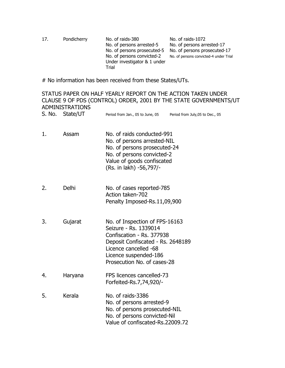| 17. | Pondicherry | No. of raids-380<br>No. of persons arrested-5<br>No. of persons prosecuted-5<br>No. of persons convicted-2<br>Under investigator & 1 under | No. of raids-1072<br>No. of persons arrested-17<br>No. of persons prosecuted-17<br>No. of persons convicted-4 under Trial |
|-----|-------------|--------------------------------------------------------------------------------------------------------------------------------------------|---------------------------------------------------------------------------------------------------------------------------|
|     |             | Trial                                                                                                                                      |                                                                                                                           |

# No information has been received from these States/UTs.

# STATUS PAPER ON HALF YEARLY REPORT ON THE ACTION TAKEN UNDER CLAUSE 9 OF PDS (CONTROL) ORDER, 2001 BY THE STATE GOVERNMENTS/UT ADMINISTRATIONS S. No. State/UT Period from Jan., 05 to June, 05 Period from July, 05 to Dec., 05 1. Assam No. of raids conducted-991 No. of persons arrested-NIL No. of persons prosecuted-24 No. of persons convicted-2 Value of goods confiscated (Rs. in lakh) -56,797/- 2. Delhi No. of cases reported-785 Action taken-702 Penalty Imposed-Rs.11,09,900 3. Gujarat No. of Inspection of FPS-16163 Seizure - Rs. 1339014 Confiscation - Rs. 377938 Deposit Confiscated - Rs. 2648189 Licence cancelled -68 Licence suspended-186 Prosecution No. of cases-28 4. Haryana FPS licences cancelled-73 Forfeited-Rs.7,74,920/- 5. Kerala No. of raids-3386 No. of persons arrested-9 No. of persons prosecuted-NIL No. of persons convicted-Nil Value of confiscated-Rs.22009.72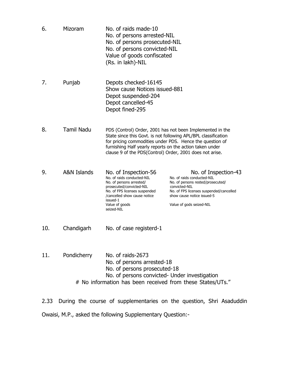| Mizoram           | No. of raids made-10<br>No. of persons arrested-NIL<br>No. of persons prosecuted-NIL<br>No. of persons convicted-NIL<br>Value of goods confiscated<br>(Rs. in lakh)-NIL                                                                                                                                         |                                                                                                                                                                                                               |
|-------------------|-----------------------------------------------------------------------------------------------------------------------------------------------------------------------------------------------------------------------------------------------------------------------------------------------------------------|---------------------------------------------------------------------------------------------------------------------------------------------------------------------------------------------------------------|
| Punjab            | Depots checked-16145<br>Show cause Notices issued-881<br>Depot suspended-204<br>Depot cancelled-45<br>Depot fined-295                                                                                                                                                                                           |                                                                                                                                                                                                               |
| <b>Tamil Nadu</b> | PDS (Control) Order, 2001 has not been Implemented in the<br>State since this Govt. is not following APL/BPL classification<br>for pricing commodities under PDS. Hence the question of<br>furnishing Half yearly reports on the action taken under<br>clause 9 of the PDS(Control) Order, 2001 does not arise. |                                                                                                                                                                                                               |
| A&N Islands       | No. of Inspection-56<br>No. of raids conducted-NIL<br>No. of persons arrested/<br>prosecuted/convicted-NIL<br>No. of FPS licenses suspended<br>/cancelled show cause notice<br>issued-1<br>Value of goods<br>seized-NIL                                                                                         | No. of Inspection-43<br>No. of raids conducted-NIL<br>No. of persons rested/prosecuted/<br>convicted-NIL<br>No. of FPS licenses suspended/cancelled<br>show cause notice issued-5<br>Value of gods seized-NIL |
| Chandigarh        | No. of case registerd-1                                                                                                                                                                                                                                                                                         |                                                                                                                                                                                                               |
| Pondicherry       | No. of raids-2673<br>No. of persons arrested-18<br>No. of persons prosecuted-18<br>No. of persons convicted- Under investigation<br># No information has been received from these States/UTs."                                                                                                                  |                                                                                                                                                                                                               |
|                   |                                                                                                                                                                                                                                                                                                                 |                                                                                                                                                                                                               |

2.33 During the course of supplementaries on the question, Shri Asaduddin Owaisi, M.P., asked the following Supplementary Question:-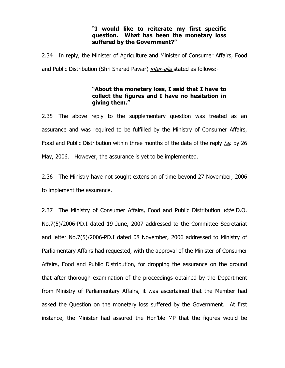### **"I would like to reiterate my first specific question. What has been the monetary loss suffered by the Government?"**

2.34 In reply, the Minister of Agriculture and Minister of Consumer Affairs, Food and Public Distribution (Shri Sharad Pawar) *inter-alia* stated as follows:-

### **"About the monetary loss, I said that I have to collect the figures and I have no hesitation in giving them."**

2.35 The above reply to the supplementary question was treated as an assurance and was required to be fulfilled by the Ministry of Consumer Affairs, Food and Public Distribution within three months of the date of the reply  $i.e.$  by 26 May, 2006. However, the assurance is yet to be implemented.

2.36 The Ministry have not sought extension of time beyond 27 November, 2006 to implement the assurance.

2.37 The Ministry of Consumer Affairs, Food and Public Distribution *vide* D.O. No.7(5)/2006-PD.I dated 19 June, 2007 addressed to the Committee Secretariat and letter No.7(5)/2006-PD.I dated 08 November, 2006 addressed to Ministry of Parliamentary Affairs had requested, with the approval of the Minister of Consumer Affairs, Food and Public Distribution, for dropping the assurance on the ground that after thorough examination of the proceedings obtained by the Department from Ministry of Parliamentary Affairs, it was ascertained that the Member had asked the Question on the monetary loss suffered by the Government. At first instance, the Minister had assured the Hon'ble MP that the figures would be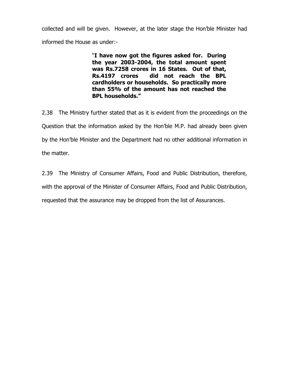collected and will be given. However, at the later stage the Hon'ble Minister had informed the House as under:-

> "**I have now got the figures asked for. During the year 2003-2004, the total amount spent was Rs.7258 crores in 16 States. Out of that, Rs.4197 crores did not reach the BPL cardholders or households. So practically more than 55% of the amount has not reached the BPL households."**

2.38 The Ministry further stated that as it is evident from the proceedings on the Question that the information asked by the Hon'ble M.P. had already been given by the Hon'ble Minister and the Department had no other additional information in the matter.

2.39 The Ministry of Consumer Affairs, Food and Public Distribution, therefore,

with the approval of the Minister of Consumer Affairs, Food and Public Distribution,

requested that the assurance may be dropped from the list of Assurances.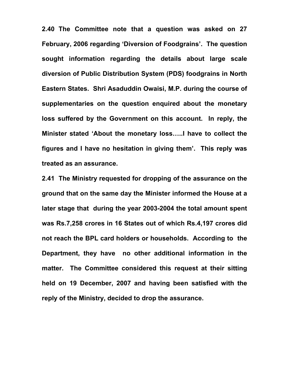**2.40 The Committee note that a question was asked on 27 February, 2006 regarding 'Diversion of Foodgrains'. The question sought information regarding the details about large scale diversion of Public Distribution System (PDS) foodgrains in North Eastern States. Shri Asaduddin Owaisi, M.P. during the course of supplementaries on the question enquired about the monetary loss suffered by the Government on this account. In reply, the Minister stated 'About the monetary loss…..I have to collect the figures and I have no hesitation in giving them'. This reply was treated as an assurance.** 

**2.41 The Ministry requested for dropping of the assurance on the ground that on the same day the Minister informed the House at a later stage that during the year 2003-2004 the total amount spent was Rs.7,258 crores in 16 States out of which Rs.4,197 crores did not reach the BPL card holders or households. According to the Department, they have no other additional information in the matter. The Committee considered this request at their sitting held on 19 December, 2007 and having been satisfied with the reply of the Ministry, decided to drop the assurance.**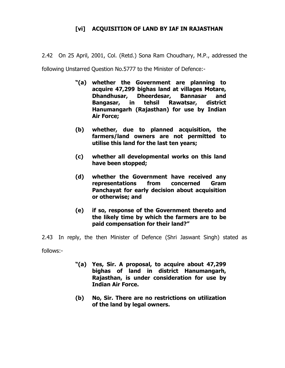# **[vi] ACQUISITION OF LAND BY IAF IN RAJASTHAN**

2.42 On 25 April, 2001, Col. (Retd.) Sona Ram Choudhary, M.P., addressed the

following Unstarred Question No.5777 to the Minister of Defence:-

- **"(a) whether the Government are planning to acquire 47,299 bighas land at villages Motare, Dhandhusar, Dheerdesar, Bannasar and Bangasar, in tehsil Rawatsar, district Hanumangarh (Rajasthan) for use by Indian Air Force;**
- **(b) whether, due to planned acquisition, the farmers/land owners are not permitted to utilise this land for the last ten years;**
- **(c) whether all developmental works on this land have been stopped;**
- **(d) whether the Government have received any representations from concerned Gram Panchayat for early decision about acquisition or otherwise; and**
- **(e) if so, response of the Government thereto and the likely time by which the farmers are to be paid compensation for their land?"**

2.43 In reply, the then Minister of Defence (Shri Jaswant Singh) stated as follows:-

- **"(a) Yes, Sir. A proposal, to acquire about 47,299 bighas of land in district Hanumangarh, Rajasthan, is under consideration for use by Indian Air Force.**
- **(b) No, Sir. There are no restrictions on utilization of the land by legal owners.**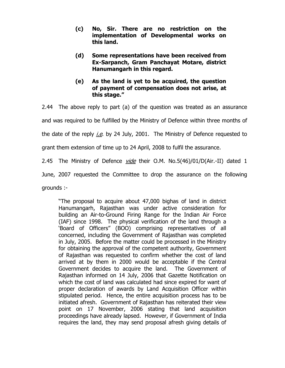- **(c) No, Sir. There are no restriction on the implementation of Developmental works on this land.**
- **(d) Some representations have been received from Ex-Sarpanch, Gram Panchayat Motare, district Hanumangarh in this regard.**
- **(e) As the land is yet to be acquired, the question of payment of compensation does not arise, at this stage."**

2.44 The above reply to part (a) of the question was treated as an assurance and was required to be fulfilled by the Ministry of Defence within three months of the date of the reply *i.e.* by 24 July, 2001. The Ministry of Defence requested to grant them extension of time up to 24 April, 2008 to fulfil the assurance.

2.45 The Ministry of Defence *vide* their O.M. No.5(46)/01/D(Air.-II) dated 1

June, 2007 requested the Committee to drop the assurance on the following

grounds :-

"The proposal to acquire about 47,000 bighas of land in district Hanumangarh, Rajasthan was under active consideration for building an Air-to-Ground Firing Range for the Indian Air Force (IAF) since 1998. The physical verification of the land through a 'Board of Officers" (BOO) comprising representatives of all concerned, including the Government of Rajasthan was completed in July, 2005. Before the matter could be processed in the Ministry for obtaining the approval of the competent authority, Government of Rajasthan was requested to confirm whether the cost of land arrived at by them in 2000 would be acceptable if the Central Government decides to acquire the land. The Government of Rajasthan informed on 14 July, 2006 that Gazette Notification on which the cost of land was calculated had since expired for want of proper declaration of awards by Land Acquisition Officer within stipulated period. Hence, the entire acquisition process has to be initiated afresh. Government of Rajasthan has reiterated their view point on 17 November, 2006 stating that land acquisition proceedings have already lapsed. However, if Government of India requires the land, they may send proposal afresh giving details of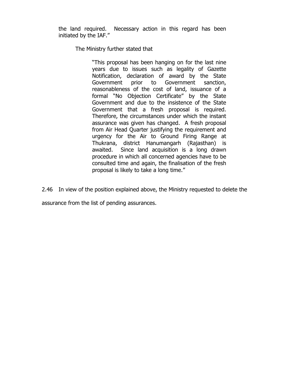the land required. Necessary action in this regard has been initiated by the IAF."

The Ministry further stated that

"This proposal has been hanging on for the last nine years due to issues such as legality of Gazette Notification, declaration of award by the State Government prior to Government sanction, reasonableness of the cost of land, issuance of a formal "No Objection Certificate" by the State Government and due to the insistence of the State Government that a fresh proposal is required. Therefore, the circumstances under which the instant assurance was given has changed. A fresh proposal from Air Head Quarter justifying the requirement and urgency for the Air to Ground Firing Range at Thukrana, district Hanumangarh (Rajasthan) is awaited. Since land acquisition is a long drawn procedure in which all concerned agencies have to be consulted time and again, the finalisation of the fresh proposal is likely to take a long time."

2.46 In view of the position explained above, the Ministry requested to delete the

assurance from the list of pending assurances.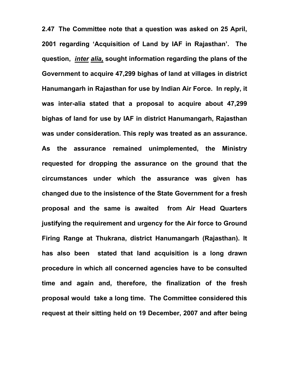**2.47 The Committee note that a question was asked on 25 April, 2001 regarding 'Acquisition of Land by IAF in Rajasthan'. The question,** *inter alia,* **sought information regarding the plans of the Government to acquire 47,299 bighas of land at villages in district Hanumangarh in Rajasthan for use by Indian Air Force. In reply, it was inter-alia stated that a proposal to acquire about 47,299 bighas of land for use by IAF in district Hanumangarh, Rajasthan was under consideration. This reply was treated as an assurance. As the assurance remained unimplemented, the Ministry requested for dropping the assurance on the ground that the circumstances under which the assurance was given has changed due to the insistence of the State Government for a fresh proposal and the same is awaited from Air Head Quarters justifying the requirement and urgency for the Air force to Ground Firing Range at Thukrana, district Hanumangarh (Rajasthan). It has also been stated that land acquisition is a long drawn procedure in which all concerned agencies have to be consulted time and again and, therefore, the finalization of the fresh proposal would take a long time. The Committee considered this request at their sitting held on 19 December, 2007 and after being**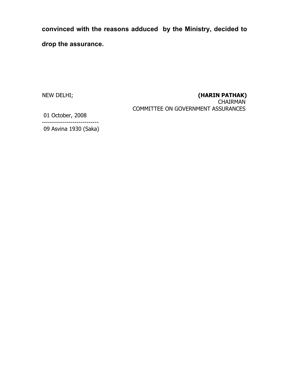**convinced with the reasons adduced by the Ministry, decided to drop the assurance.** 

# NEW DELHI; **(HARIN PATHAK)**

CHAIRMAN COMMITTEE ON GOVERNMENT ASSURANCES

 01 October, 2008 ----------------------------

09 Asvina 1930 (Saka)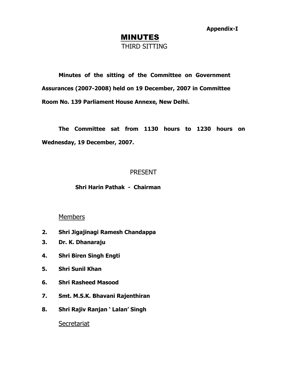**Appendix-I**

# MINUTES THIRD SITTING

**Minutes of the sitting of the Committee on Government Assurances (2007-2008) held on 19 December, 2007 in Committee Room No. 139 Parliament House Annexe, New Delhi.** 

**The Committee sat from 1130 hours to 1230 hours on Wednesday, 19 December, 2007.** 

# PRESENT

### **Shri Harin Pathak - Chairman**

### **Members**

- **2. Shri Jigajinagi Ramesh Chandappa**
- **3. Dr. K. Dhanaraju**
- **4. Shri Biren Singh Engti**
- **5. Shri Sunil Khan**
- **6. Shri Rasheed Masood**
- **7. Smt. M.S.K. Bhavani Rajenthiran**
- **8. Shri Rajiv Ranjan ' Lalan' Singh**

# **Secretariat**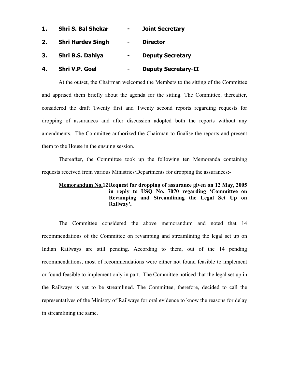| 1. | <b>Shri S. Bal Shekar</b> |                | <b>Joint Secretary</b>     |
|----|---------------------------|----------------|----------------------------|
| 2. | <b>Shri Hardev Singh</b>  | $\blacksquare$ | <b>Director</b>            |
| 3. | Shri B.S. Dahiya          | $\blacksquare$ | <b>Deputy Secretary</b>    |
| 4. | <b>Shri V.P. Goel</b>     |                | <b>Deputy Secretary-II</b> |

At the outset, the Chairman welcomed the Members to the sitting of the Committee and apprised them briefly about the agenda for the sitting. The Committee, thereafter, considered the draft Twenty first and Twenty second reports regarding requests for dropping of assurances and after discussion adopted both the reports without any amendments. The Committee authorized the Chairman to finalise the reports and present them to the House in the ensuing session.

Thereafter, the Committee took up the following ten Memoranda containing requests received from various Ministries/Departments for dropping the assurances:-

### **Memorandum No.12 Request for dropping of assurance given on 12 May, 2005 in reply to USQ No. 7070 regarding 'Committee on Revamping and Streamlining the Legal Set Up on Railway'.**

The Committee considered the above memorandum and noted that 14 recommendations of the Committee on revamping and streamlining the legal set up on Indian Railways are still pending. According to them, out of the 14 pending recommendations, most of recommendations were either not found feasible to implement or found feasible to implement only in part. The Committee noticed that the legal set up in the Railways is yet to be streamlined. The Committee, therefore, decided to call the representatives of the Ministry of Railways for oral evidence to know the reasons for delay in streamlining the same.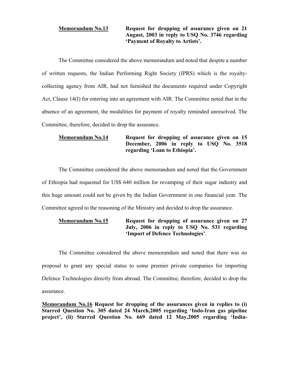### **Memorandum No.13 Request for dropping of assurance given on 21 August, 2003 in reply to USQ No. 3746 regarding 'Payment of Royalty to Artists'.**

The Committee considered the above memorandum and noted that despite a number of written requests, the Indian Performing Right Society (IPRS) which is the royaltycollecting agency from AIR, had not furnished the documents required under Copyright Act, Clause 14(I) for entering into an agreement with AIR. The Committee noted that in the absence of an agreement, the modalities for payment of royalty reminded unresolved. The Committee, therefore, decided to drop the assurance.

### **Memorandum No.14 Request for dropping of assurance given on 15 December, 2006 in reply to USQ No. 3518 regarding 'Loan to Ethiopia'.**

The Committee considered the above memorandum and noted that the Government of Ethiopia had requested for US\$ 640 million for revamping of their sugar industry and this huge amount could not be given by the Indian Government in one financial year. The Committee agreed to the reasoning of the Ministry and decided to drop the assurance.

### **Memorandum No.15 Request for dropping of assurance given on 27 July, 2006 in reply to USQ No. 531 regarding 'Import of Defence Technologies'**.

The Committee considered the above memorandum and noted that there was no proposal to grant any special status to some premier private companies for importing Defence Technologies directly from abroad. The Committee, therefore, decided to drop the assurance.

**Memorandum No.16 Request for dropping of the assurances given in replies to (i) Starred Question No. 305 dated 24 March,2005 regarding 'Indo-Iran gas pipeline project', (ii) Starred Question No. 669 dated 12 May,2005 regarding 'India-**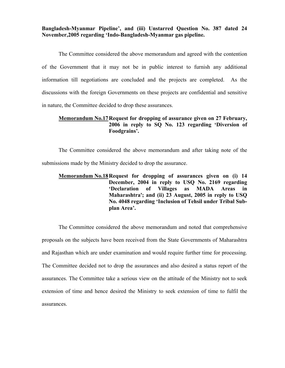**Bangladesh-Myanmar Pipeline', and (iii) Unstarred Question No. 387 dated 24 November,2005 regarding 'Indo-Bangladesh-Myanmar gas pipeline.** 

The Committee considered the above memorandum and agreed with the contention of the Government that it may not be in public interest to furnish any additional information till negotiations are concluded and the projects are completed. As the discussions with the foreign Governments on these projects are confidential and sensitive in nature, the Committee decided to drop these assurances.

#### **Memorandum No.17 Request for dropping of assurance given on 27 February, 2006 in reply to SQ No. 123 regarding 'Diversion of Foodgrains'.**

The Committee considered the above memorandum and after taking note of the submissions made by the Ministry decided to drop the assurance.

### **Memorandum No.18 Request for dropping of assurances given on (i) 14 December, 2004 in reply to USQ No. 2169 regarding 'Declaration of Villages as MADA Areas in Maharashtra'; and (ii) 23 August, 2005 in reply to USQ No. 4048 regarding 'Inclusion of Tehsil under Tribal Subplan Area'.**

The Committee considered the above memorandum and noted that comprehensive proposals on the subjects have been received from the State Governments of Maharashtra and Rajasthan which are under examination and would require further time for processing. The Committee decided not to drop the assurances and also desired a status report of the assurances. The Committee take a serious view on the attitude of the Ministry not to seek extension of time and hence desired the Ministry to seek extension of time to fulfil the assurances.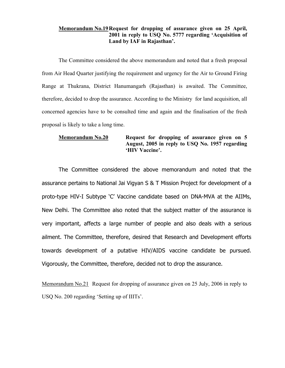#### **Memorandum No.19 Request for dropping of assurance given on 25 April, 2001 in reply to USQ No. 5777 regarding 'Acquisition of Land by IAF in Rajasthan'.**

The Committee considered the above memorandum and noted that a fresh proposal from Air Head Quarter justifying the requirement and urgency for the Air to Ground Firing Range at Thukrana, District Hanumangarh (Rajasthan) is awaited. The Committee, therefore, decided to drop the assurance. According to the Ministry for land acquisition, all concerned agencies have to be consulted time and again and the finalisation of the fresh proposal is likely to take a long time.

### **Memorandum No.20 Request for dropping of assurance given on 5 August, 2005 in reply to USQ No. 1957 regarding 'HIV Vaccine'.**

The Committee considered the above memorandum and noted that the assurance pertains to National Jai Vigyan S & T Mission Project for development of a proto-type HIV-I Subtype 'C' Vaccine candidate based on DNA-MVA at the AIIMs, New Delhi. The Committee also noted that the subject matter of the assurance is very important, affects a large number of people and also deals with a serious ailment. The Committee, therefore, desired that Research and Development efforts towards development of a putative HIV/AIDS vaccine candidate be pursued. Vigorously, the Committee, therefore, decided not to drop the assurance.

Memorandum No.21 Request for dropping of assurance given on 25 July, 2006 in reply to USQ No. 200 regarding 'Setting up of IIITs'.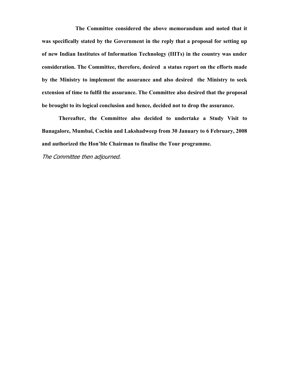**The Committee considered the above memorandum and noted that it was specifically stated by the Government in the reply that a proposal for setting up of new Indian Institutes of Information Technology (IIITs) in the country was under consideration. The Committee, therefore, desired a status report on the efforts made by the Ministry to implement the assurance and also desired the Ministry to seek extension of time to fulfil the assurance. The Committee also desired that the proposal be brought to its logical conclusion and hence, decided not to drop the assurance.**

**Thereafter, the Committee also decided to undertake a Study Visit to Banagalore, Mumbai, Cochin and Lakshadweep from 30 January to 6 February, 2008 and authorized the Hon'ble Chairman to finalise the Tour programme.** 

The Committee then adjourned.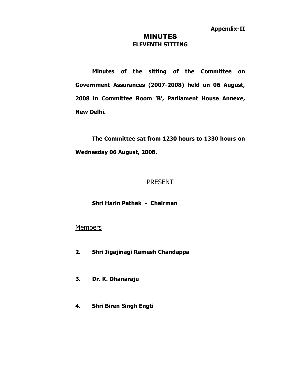#### MINUTES **ELEVENTH SITTING**

**Minutes of the sitting of the Committee on Government Assurances (2007-2008) held on 06 August, 2008 in Committee Room 'B', Parliament House Annexe, New Delhi.** 

**The Committee sat from 1230 hours to 1330 hours on Wednesday 06 August, 2008.** 

## **PRESENT**

### **Shri Harin Pathak - Chairman**

## **Members**

- **2. Shri Jigajinagi Ramesh Chandappa**
- **3. Dr. K. Dhanaraju**
- **4. Shri Biren Singh Engti**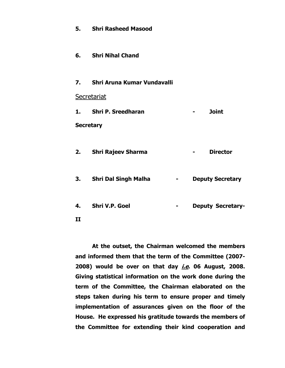|              | 5. Shri Rasheed Masood         |                                 |  |                          |  |
|--------------|--------------------------------|---------------------------------|--|--------------------------|--|
|              | 6. Shri Nihal Chand            |                                 |  |                          |  |
|              | 7. Shri Aruna Kumar Vundavalli |                                 |  |                          |  |
|              | Secretariat                    |                                 |  |                          |  |
|              | 1. Shri P. Sreedharan          |                                 |  | <b>Joint</b>             |  |
|              | <b>Secretary</b>               |                                 |  |                          |  |
|              | 2. Shri Rajeev Sharma          |                                 |  | <b>Director</b>          |  |
|              | 3. Shri Dal Singh Malha        | <b>Contract Contract Street</b> |  | <b>Deputy Secretary</b>  |  |
| 4.           | Shri V.P. Goel                 | ٠                               |  | <b>Deputy Secretary-</b> |  |
| $\mathbf{I}$ |                                |                                 |  |                          |  |

**At the outset, the Chairman welcomed the members and informed them that the term of the Committee (2007- 2008) would be over on that day i.e. 06 August, 2008. Giving statistical information on the work done during the term of the Committee, the Chairman elaborated on the steps taken during his term to ensure proper and timely implementation of assurances given on the floor of the House. He expressed his gratitude towards the members of the Committee for extending their kind cooperation and**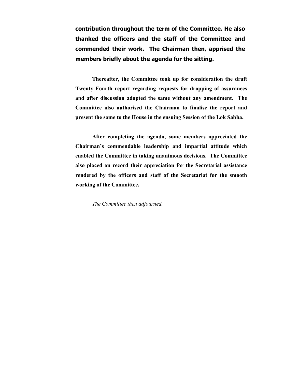**contribution throughout the term of the Committee. He also thanked the officers and the staff of the Committee and commended their work. The Chairman then, apprised the members briefly about the agenda for the sitting.** 

**Thereafter, the Committee took up for consideration the draft Twenty Fourth report regarding requests for dropping of assurances and after discussion adopted the same without any amendment. The Committee also authorised the Chairman to finalise the report and present the same to the House in the ensuing Session of the Lok Sabha.** 

**After completing the agenda, some members appreciated the Chairman's commendable leadership and impartial attitude which enabled the Committee in taking unanimous decisions. The Committee also placed on record their appreciation for the Secretarial assistance rendered by the officers and staff of the Secretariat for the smooth working of the Committee.** 

*The Committee then adjourned.*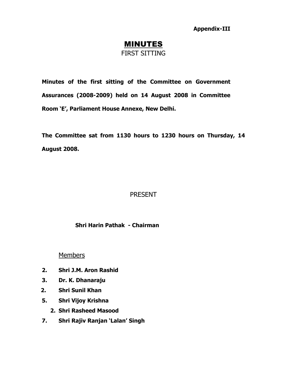**Appendix-III** 

# **MINUTES** FIRST SITTING

**Minutes of the first sitting of the Committee on Government Assurances (2008-2009) held on 14 August 2008 in Committee Room 'E', Parliament House Annexe, New Delhi.** 

**The Committee sat from 1130 hours to 1230 hours on Thursday, 14 August 2008.** 

# PRESENT

**Shri Harin Pathak - Chairman** 

Members

- **2. Shri J.M. Aron Rashid**
- **3. Dr. K. Dhanaraju**
- **2. Shri Sunil Khan**
- **5. Shri Vijoy Krishna** 
	- **2. Shri Rasheed Masood**
- **7. Shri Rajiv Ranjan 'Lalan' Singh**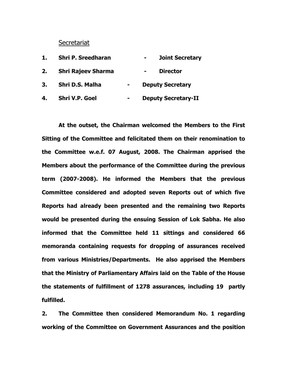#### **Secretariat**

| 1. | <b>Shri P. Sreedharan</b> |                | <b>Joint Secretary</b>            |
|----|---------------------------|----------------|-----------------------------------|
| 2. | <b>Shri Rajeev Sharma</b> |                | <b>Director</b><br>$\blacksquare$ |
| 3. | Shri D.S. Malha           | $\blacksquare$ | <b>Deputy Secretary</b>           |
| 4. | <b>Shri V.P. Goel</b>     |                | <b>Deputy Secretary-II</b>        |

**At the outset, the Chairman welcomed the Members to the First Sitting of the Committee and felicitated them on their renomination to the Committee w.e.f. 07 August, 2008. The Chairman apprised the Members about the performance of the Committee during the previous term (2007-2008). He informed the Members that the previous Committee considered and adopted seven Reports out of which five Reports had already been presented and the remaining two Reports would be presented during the ensuing Session of Lok Sabha. He also informed that the Committee held 11 sittings and considered 66 memoranda containing requests for dropping of assurances received from various Ministries/Departments. He also apprised the Members that the Ministry of Parliamentary Affairs laid on the Table of the House the statements of fulfillment of 1278 assurances, including 19 partly fulfilled.** 

**2. The Committee then considered Memorandum No. 1 regarding working of the Committee on Government Assurances and the position**